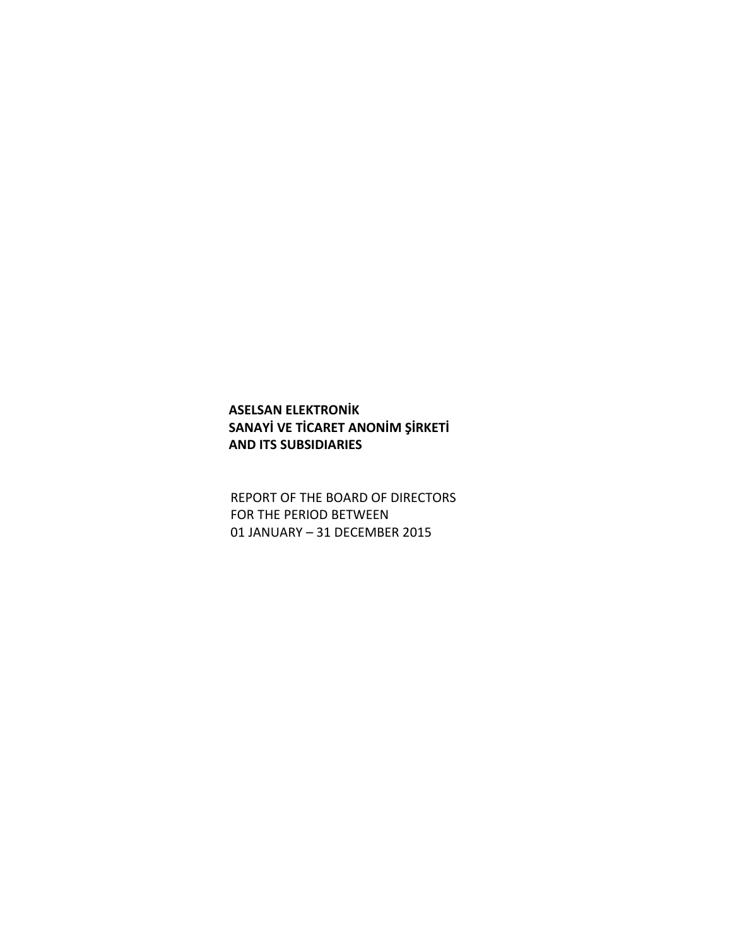# **ASELSAN ELEKTRONİK SANAYİ VE TİCARET ANONİM ŞİRKETİ AND ITS SUBSIDIARIES**

REPORT OF THE BOARD OF DIRECTORS FOR THE PERIOD BETWEEN 01 JANUARY – 31 DECEMBER 2015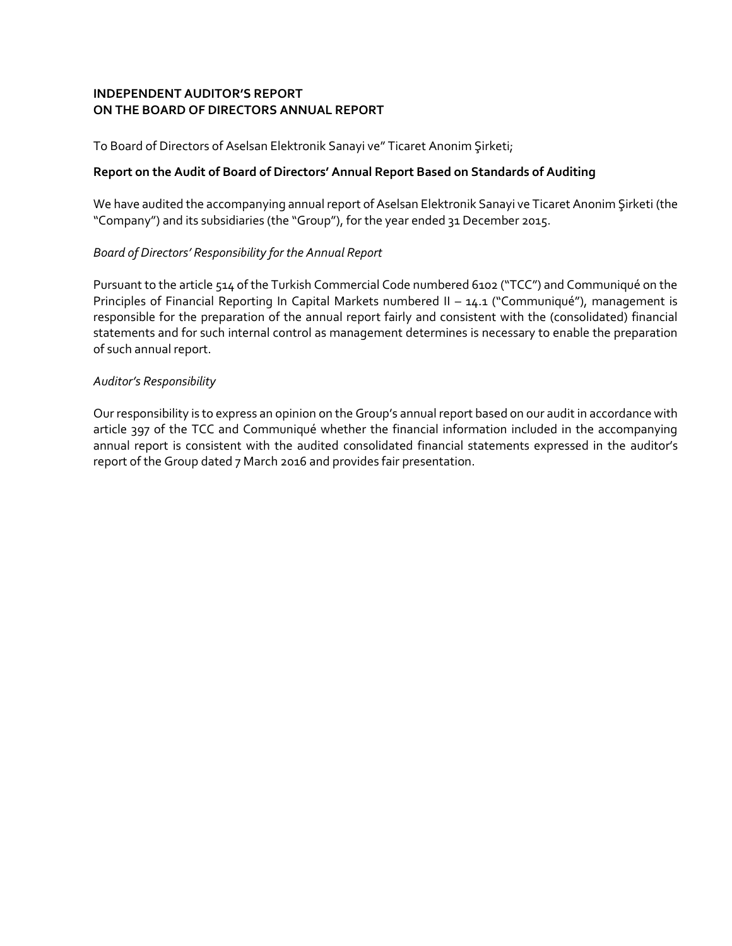### **INDEPENDENT AUDITOR'S REPORT ON THE BOARD OF DIRECTORS ANNUAL REPORT**

To Board of Directors of Aselsan Elektronik Sanayi ve" Ticaret Anonim Şirketi;

### **Report on the Audit of Board of Directors' Annual Report Based on Standards of Auditing**

We have audited the accompanying annual report of Aselsan Elektronik Sanayi ve Ticaret Anonim Şirketi (the "Company") and its subsidiaries (the "Group"), for the year ended 31 December 2015.

## *Board of Directors' Responsibility for the Annual Report*

Pursuant to the article 514 of the Turkish Commercial Code numbered 6102 ("TCC") and Communiqué on the Principles of Financial Reporting In Capital Markets numbered II – 14.1 ("Communiqué"), management is responsible for the preparation of the annual report fairly and consistent with the (consolidated) financial statements and for such internal control as management determines is necessary to enable the preparation of such annual report.

#### *Auditor's Responsibility*

Our responsibility is to express an opinion on the Group's annual report based on our audit in accordance with article 397 of the TCC and Communiqué whether the financial information included in the accompanying annual report is consistent with the audited consolidated financial statements expressed in the auditor's report of the Group dated 7 March 2016 and provides fair presentation.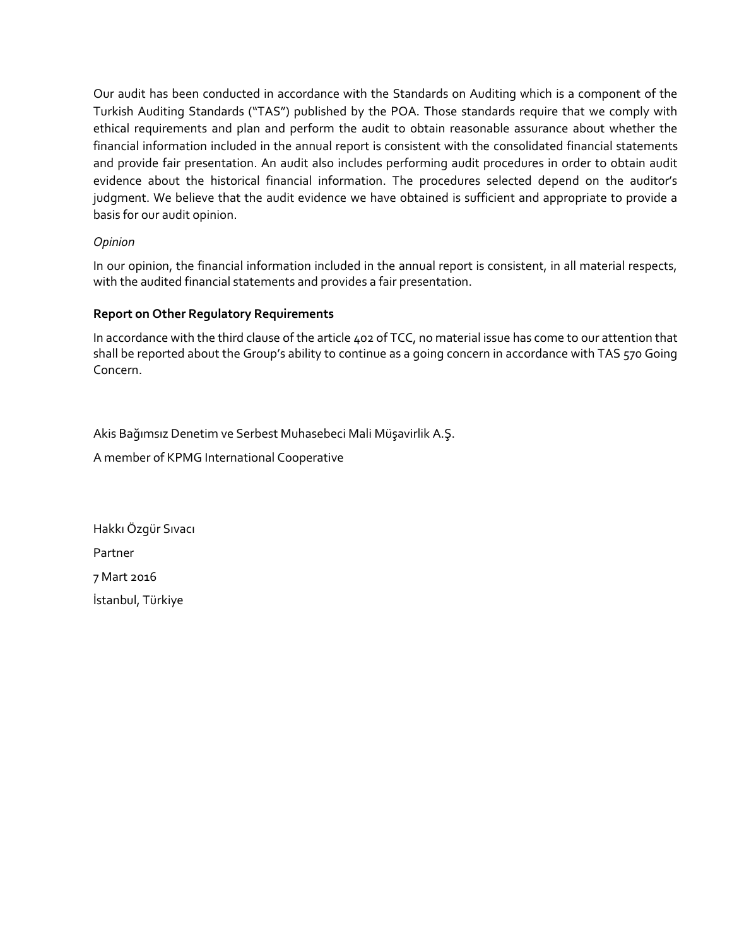Our audit has been conducted in accordance with the Standards on Auditing which is a component of the Turkish Auditing Standards ("TAS") published by the POA. Those standards require that we comply with ethical requirements and plan and perform the audit to obtain reasonable assurance about whether the financial information included in the annual report is consistent with the consolidated financial statements and provide fair presentation. An audit also includes performing audit procedures in order to obtain audit evidence about the historical financial information. The procedures selected depend on the auditor's judgment. We believe that the audit evidence we have obtained is sufficient and appropriate to provide a basis for our audit opinion.

## *Opinion*

In our opinion, the financial information included in the annual report is consistent, in all material respects, with the audited financial statements and provides a fair presentation.

#### **Report on Other Regulatory Requirements**

In accordance with the third clause of the article 402 of TCC, no material issue has come to our attention that shall be reported about the Group's ability to continue as a going concern in accordance with TAS 570 Going Concern.

Akis Bağımsız Denetim ve Serbest Muhasebeci Mali Müşavirlik A.Ş.

A member of KPMG International Cooperative

Hakkı Özgür Sıvacı Partner 7 Mart 2016 İstanbul, Türkiye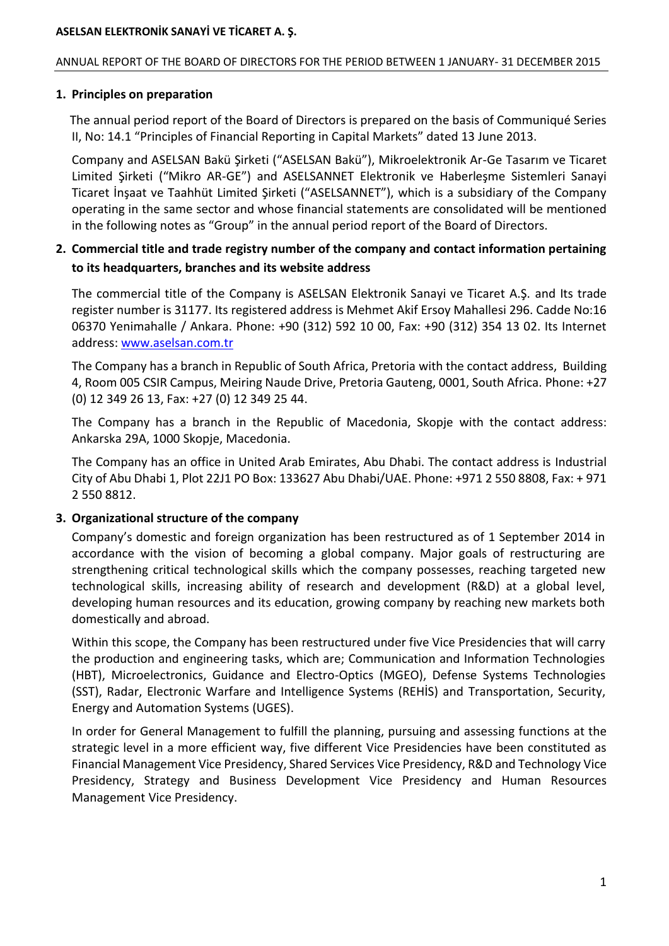### ANNUAL REPORT OF THE BOARD OF DIRECTORS FOR THE PERIOD BETWEEN 1 JANUARY- 31 DECEMBER 2015

### **1. Principles on preparation**

 The annual period report of the Board of Directors is prepared on the basis of Communiqué Series II, No: 14.1 "Principles of Financial Reporting in Capital Markets" dated 13 June 2013.

 Company and ASELSAN Bakü Şirketi ("ASELSAN Bakü"), Mikroelektronik Ar-Ge Tasarım ve Ticaret Limited Şirketi ("Mikro AR-GE") and ASELSANNET Elektronik ve Haberleşme Sistemleri Sanayi Ticaret İnşaat ve Taahhüt Limited Şirketi ("ASELSANNET"), which is a subsidiary of the Company operating in the same sector and whose financial statements are consolidated will be mentioned in the following notes as "Group" in the annual period report of the Board of Directors.

## **2. Commercial title and trade registry number of the company and contact information pertaining to its headquarters, branches and its website address**

The commercial title of the Company is ASELSAN Elektronik Sanayi ve Ticaret A.Ş. and Its trade register number is 31177. Its registered address is Mehmet Akif Ersoy Mahallesi 296. Cadde No:16 06370 Yenimahalle / Ankara. Phone: +90 (312) 592 10 00, Fax: +90 (312) 354 13 02. Its Internet address[: www.aselsan.com.tr](http://www.aselsan.com.tr/)

The Company has a branch in Republic of South Africa, Pretoria with the contact address, Building 4, Room 005 CSIR Campus, Meiring Naude Drive, Pretoria Gauteng, 0001, South Africa. Phone: +27 (0) 12 349 26 13, Fax: +27 (0) 12 349 25 44.

The Company has a branch in the Republic of Macedonia, Skopje with the contact address: Ankarska 29A, 1000 Skopje, Macedonia.

The Company has an office in United Arab Emirates, Abu Dhabi. The contact address is Industrial City of Abu Dhabi 1, Plot 22J1 PO Box: 133627 Abu Dhabi/UAE. Phone: +971 2 550 8808, Fax: + 971 2 550 8812.

## **3. Organizational structure of the company**

Company's domestic and foreign organization has been restructured as of 1 September 2014 in accordance with the vision of becoming a global company. Major goals of restructuring are strengthening critical technological skills which the company possesses, reaching targeted new technological skills, increasing ability of research and development (R&D) at a global level, developing human resources and its education, growing company by reaching new markets both domestically and abroad.

Within this scope, the Company has been restructured under five Vice Presidencies that will carry the production and engineering tasks, which are; Communication and Information Technologies (HBT), Microelectronics, Guidance and Electro-Optics (MGEO), Defense Systems Technologies (SST), Radar, Electronic Warfare and Intelligence Systems (REHİS) and Transportation, Security, Energy and Automation Systems (UGES).

In order for General Management to fulfill the planning, pursuing and assessing functions at the strategic level in a more efficient way, five different Vice Presidencies have been constituted as Financial Management Vice Presidency, Shared Services Vice Presidency, R&D and Technology Vice Presidency, Strategy and Business Development Vice Presidency and Human Resources Management Vice Presidency.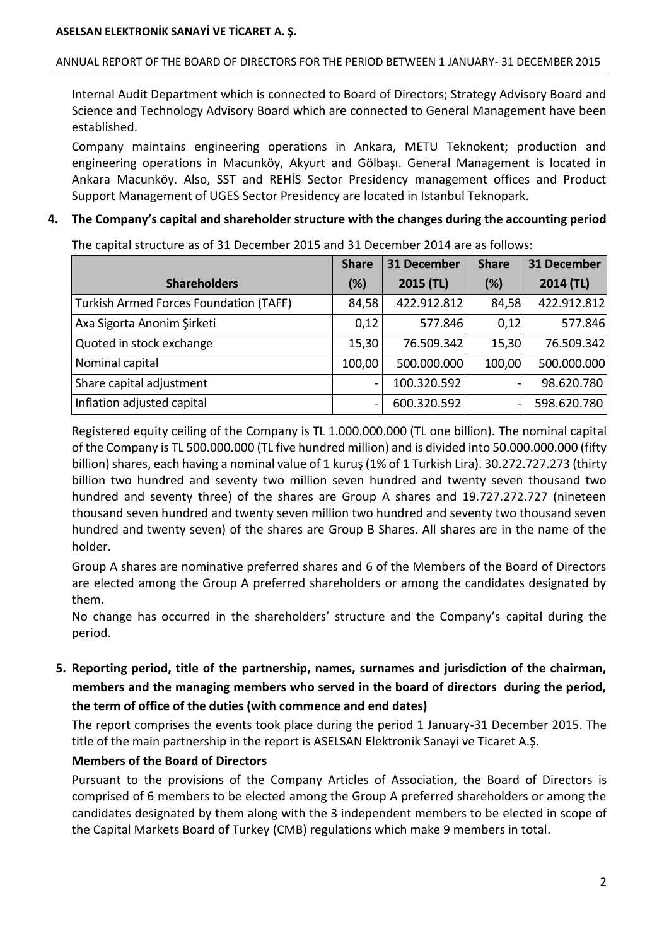## ANNUAL REPORT OF THE BOARD OF DIRECTORS FOR THE PERIOD BETWEEN 1 JANUARY- 31 DECEMBER 2015

Internal Audit Department which is connected to Board of Directors; Strategy Advisory Board and Science and Technology Advisory Board which are connected to General Management have been established.

Company maintains engineering operations in Ankara, METU Teknokent; production and engineering operations in Macunköy, Akyurt and Gölbaşı. General Management is located in Ankara Macunköy. Also, SST and REHİS Sector Presidency management offices and Product Support Management of UGES Sector Presidency are located in Istanbul Teknopark.

## **4. The Company's capital and shareholder structure with the changes during the accounting period**

|                                        | <b>Share</b> | <b>31 December</b> | <b>Share</b> | <b>31 December</b> |
|----------------------------------------|--------------|--------------------|--------------|--------------------|
| <b>Shareholders</b>                    | (%)          | 2015 (TL)          | (%)          | 2014 (TL)          |
| Turkish Armed Forces Foundation (TAFF) | 84,58        | 422.912.812        | 84,58        | 422.912.812        |
| Axa Sigorta Anonim Şirketi             | 0,12         | 577.846            | 0,12         | 577.846            |
| Quoted in stock exchange               | 15,30        | 76.509.342         | 15,30        | 76.509.342         |
| Nominal capital                        | 100,00       | 500.000.000        | 100,00       | 500.000.000        |
| Share capital adjustment               | -            | 100.320.592        |              | 98.620.780         |
| Inflation adjusted capital             | -            | 600.320.592        | -            | 598.620.780        |

The capital structure as of 31 December 2015 and 31 December 2014 are as follows:

Registered equity ceiling of the Company is TL 1.000.000.000 (TL one billion). The nominal capital of the Company is TL 500.000.000 (TL five hundred million) and is divided into 50.000.000.000 (fifty billion) shares, each having a nominal value of 1 kuruş (1% of 1 Turkish Lira). 30.272.727.273 (thirty billion two hundred and seventy two million seven hundred and twenty seven thousand two hundred and seventy three) of the shares are Group A shares and 19.727.272.727 (nineteen thousand seven hundred and twenty seven million two hundred and seventy two thousand seven hundred and twenty seven) of the shares are Group B Shares. All shares are in the name of the holder.

Group A shares are nominative preferred shares and 6 of the Members of the Board of Directors are elected among the Group A preferred shareholders or among the candidates designated by them.

No change has occurred in the shareholders' structure and the Company's capital during the period.

**5. Reporting period, title of the partnership, names, surnames and jurisdiction of the chairman, members and the managing members who served in the board of directors during the period, the term of office of the duties (with commence and end dates)**

The report comprises the events took place during the period 1 January-31 December 2015. The title of the main partnership in the report is ASELSAN Elektronik Sanayi ve Ticaret A.Ş.

## **Members of the Board of Directors**

Pursuant to the provisions of the Company Articles of Association, the Board of Directors is comprised of 6 members to be elected among the Group A preferred shareholders or among the candidates designated by them along with the 3 independent members to be elected in scope of the Capital Markets Board of Turkey (CMB) regulations which make 9 members in total.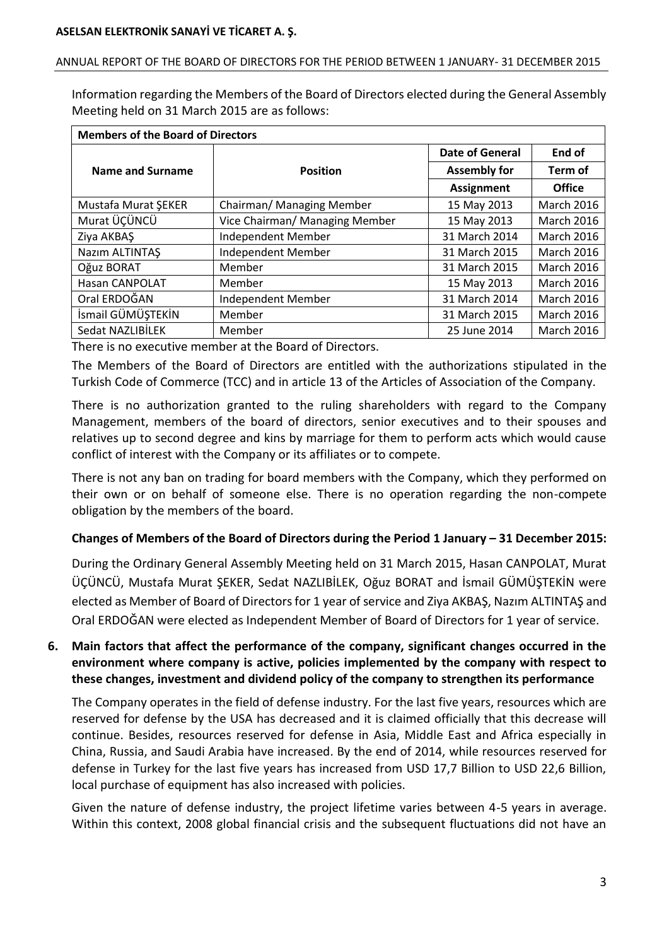### ANNUAL REPORT OF THE BOARD OF DIRECTORS FOR THE PERIOD BETWEEN 1 JANUARY- 31 DECEMBER 2015

Information regarding the Members of the Board of Directors elected during the General Assembly Meeting held on 31 March 2015 are as follows:

| <b>Members of the Board of Directors</b> |                                |                        |                   |  |
|------------------------------------------|--------------------------------|------------------------|-------------------|--|
|                                          |                                | <b>Date of General</b> | End of            |  |
| Name and Surname                         | <b>Position</b>                | <b>Assembly for</b>    | Term of           |  |
|                                          |                                | <b>Assignment</b>      | <b>Office</b>     |  |
| Mustafa Murat ŞEKER                      | Chairman/ Managing Member      | 15 May 2013            | <b>March 2016</b> |  |
| Murat ÜÇÜNCÜ                             | Vice Chairman/ Managing Member | 15 May 2013            | <b>March 2016</b> |  |
| Ziya AKBAŞ                               | Independent Member             | 31 March 2014          | March 2016        |  |
| Nazım ALTINTAŞ                           | Independent Member             | 31 March 2015          | March 2016        |  |
| Oğuz BORAT                               | Member                         | 31 March 2015          | <b>March 2016</b> |  |
| <b>Hasan CANPOLAT</b>                    | Member                         | 15 May 2013            | <b>March 2016</b> |  |
| Oral ERDOĞAN                             | Independent Member             | 31 March 2014          | <b>March 2016</b> |  |
| İsmail GÜMÜŞTEKİN                        | Member                         | 31 March 2015          | March 2016        |  |
| Sedat NAZLIBİLEK                         | Member                         | 25 June 2014           | <b>March 2016</b> |  |

There is no executive member at the Board of Directors.

The Members of the Board of Directors are entitled with the authorizations stipulated in the Turkish Code of Commerce (TCC) and in article 13 of the Articles of Association of the Company.

There is no authorization granted to the ruling shareholders with regard to the Company Management, members of the board of directors, senior executives and to their spouses and relatives up to second degree and kins by marriage for them to perform acts which would cause conflict of interest with the Company or its affiliates or to compete.

There is not any ban on trading for board members with the Company, which they performed on their own or on behalf of someone else. There is no operation regarding the non-compete obligation by the members of the board.

## **Changes of Members of the Board of Directors during the Period 1 January – 31 December 2015:**

During the Ordinary General Assembly Meeting held on 31 March 2015, Hasan CANPOLAT, Murat ÜÇÜNCÜ, Mustafa Murat ŞEKER, Sedat NAZLIBİLEK, Oğuz BORAT and İsmail GÜMÜŞTEKİN were elected as Member of Board of Directors for 1 year of service and Ziya AKBAŞ, Nazım ALTINTAŞ and Oral ERDOĞAN were elected as Independent Member of Board of Directors for 1 year of service.

## **6. Main factors that affect the performance of the company, significant changes occurred in the environment where company is active, policies implemented by the company with respect to these changes, investment and dividend policy of the company to strengthen its performance**

The Company operates in the field of defense industry. For the last five years, resources which are reserved for defense by the USA has decreased and it is claimed officially that this decrease will continue. Besides, resources reserved for defense in Asia, Middle East and Africa especially in China, Russia, and Saudi Arabia have increased. By the end of 2014, while resources reserved for defense in Turkey for the last five years has increased from USD 17,7 Billion to USD 22,6 Billion, local purchase of equipment has also increased with policies.

Given the nature of defense industry, the project lifetime varies between 4-5 years in average. Within this context, 2008 global financial crisis and the subsequent fluctuations did not have an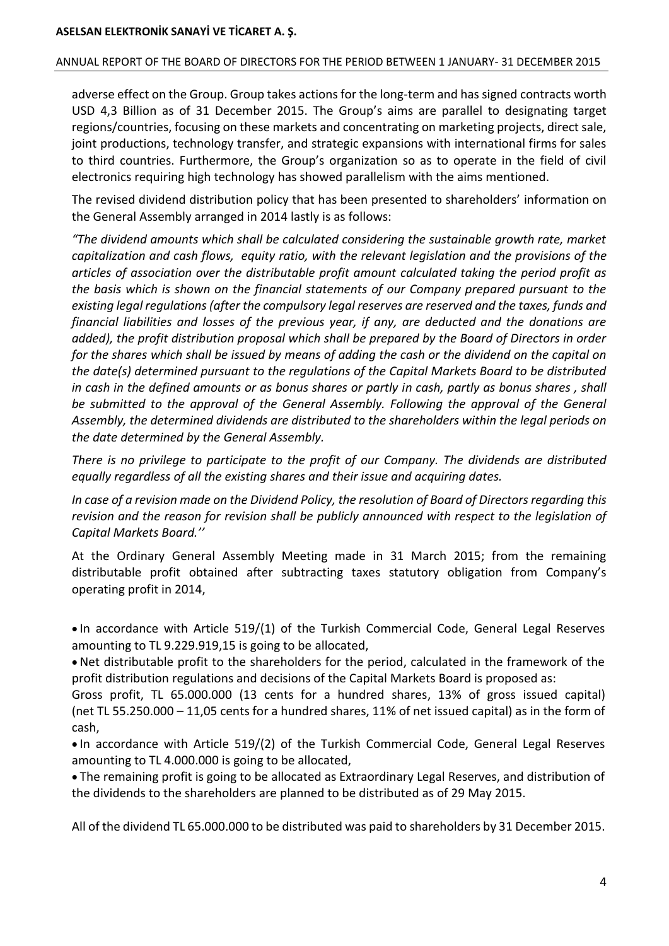#### ANNUAL REPORT OF THE BOARD OF DIRECTORS FOR THE PERIOD BETWEEN 1 JANUARY- 31 DECEMBER 2015

adverse effect on the Group. Group takes actions for the long-term and has signed contracts worth USD 4,3 Billion as of 31 December 2015. The Group's aims are parallel to designating target regions/countries, focusing on these markets and concentrating on marketing projects, direct sale, joint productions, technology transfer, and strategic expansions with international firms for sales to third countries. Furthermore, the Group's organization so as to operate in the field of civil electronics requiring high technology has showed parallelism with the aims mentioned.

The revised dividend distribution policy that has been presented to shareholders' information on the General Assembly arranged in 2014 lastly is as follows:

*"The dividend amounts which shall be calculated considering the sustainable growth rate, market capitalization and cash flows, equity ratio, with the relevant legislation and the provisions of the articles of association over the distributable profit amount calculated taking the period profit as the basis which is shown on the financial statements of our Company prepared pursuant to the existing legal regulations (after the compulsory legal reserves are reserved and the taxes, funds and financial liabilities and losses of the previous year, if any, are deducted and the donations are added), the profit distribution proposal which shall be prepared by the Board of Directors in order for the shares which shall be issued by means of adding the cash or the dividend on the capital on the date(s) determined pursuant to the regulations of the Capital Markets Board to be distributed in cash in the defined amounts or as bonus shares or partly in cash, partly as bonus shares , shall be submitted to the approval of the General Assembly. Following the approval of the General Assembly, the determined dividends are distributed to the shareholders within the legal periods on the date determined by the General Assembly.*

*There is no privilege to participate to the profit of our Company. The dividends are distributed equally regardless of all the existing shares and their issue and acquiring dates.*

*In case of a revision made on the Dividend Policy, the resolution of Board of Directors regarding this revision and the reason for revision shall be publicly announced with respect to the legislation of Capital Markets Board.''*

At the Ordinary General Assembly Meeting made in 31 March 2015; from the remaining distributable profit obtained after subtracting taxes statutory obligation from Company's operating profit in 2014,

 $\bullet$  In accordance with Article 519/(1) of the Turkish Commercial Code, General Legal Reserves amounting to TL 9.229.919,15 is going to be allocated,

 Net distributable profit to the shareholders for the period, calculated in the framework of the profit distribution regulations and decisions of the Capital Markets Board is proposed as:

Gross profit, TL 65.000.000 (13 cents for a hundred shares, 13% of gross issued capital) (net TL 55.250.000 – 11,05 cents for a hundred shares, 11% of net issued capital) as in the form of cash,

 $\bullet$  In accordance with Article 519/(2) of the Turkish Commercial Code, General Legal Reserves amounting to TL 4.000.000 is going to be allocated,

 The remaining profit is going to be allocated as Extraordinary Legal Reserves, and distribution of the dividends to the shareholders are planned to be distributed as of 29 May 2015.

All of the dividend TL 65.000.000 to be distributed was paid to shareholders by 31 December 2015.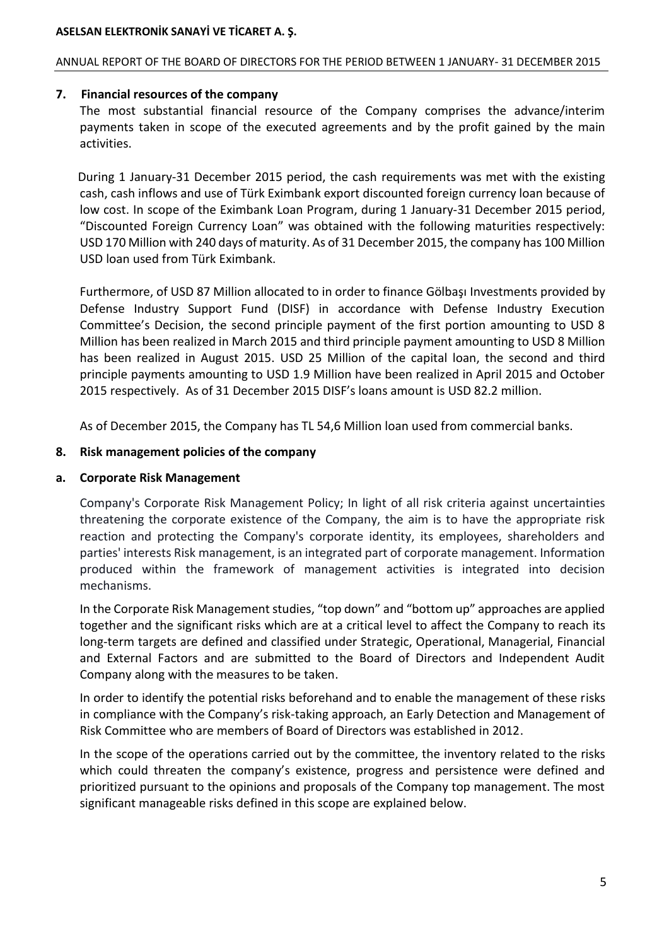### ANNUAL REPORT OF THE BOARD OF DIRECTORS FOR THE PERIOD BETWEEN 1 JANUARY- 31 DECEMBER 2015

## **7. Financial resources of the company**

The most substantial financial resource of the Company comprises the advance/interim payments taken in scope of the executed agreements and by the profit gained by the main activities.

During 1 January-31 December 2015 period, the cash requirements was met with the existing cash, cash inflows and use of Türk Eximbank export discounted foreign currency loan because of low cost. In scope of the Eximbank Loan Program, during 1 January-31 December 2015 period, "Discounted Foreign Currency Loan" was obtained with the following maturities respectively: USD 170 Million with 240 days of maturity. As of 31 December 2015, the company has 100 Million USD loan used from Türk Eximbank.

Furthermore, of USD 87 Million allocated to in order to finance Gölbaşı Investments provided by Defense Industry Support Fund (DISF) in accordance with Defense Industry Execution Committee's Decision, the second principle payment of the first portion amounting to USD 8 Million has been realized in March 2015 and third principle payment amounting to USD 8 Million has been realized in August 2015. USD 25 Million of the capital loan, the second and third principle payments amounting to USD 1.9 Million have been realized in April 2015 and October 2015 respectively. As of 31 December 2015 DISF's loans amount is USD 82.2 million.

As of December 2015, the Company has TL 54,6 Million loan used from commercial banks.

## **8. Risk management policies of the company**

## **a. Corporate Risk Management**

Company's Corporate Risk Management Policy; In light of all risk criteria against uncertainties threatening the corporate existence of the Company, the aim is to have the appropriate risk reaction and protecting the Company's corporate identity, its employees, shareholders and parties' interests Risk management, is an integrated part of corporate management. Information produced within the framework of management activities is integrated into decision mechanisms.

In the Corporate Risk Management studies, "top down" and "bottom up" approaches are applied together and the significant risks which are at a critical level to affect the Company to reach its long-term targets are defined and classified under Strategic, Operational, Managerial, Financial and External Factors and are submitted to the Board of Directors and Independent Audit Company along with the measures to be taken.

In order to identify the potential risks beforehand and to enable the management of these risks in compliance with the Company's risk-taking approach, an Early Detection and Management of Risk Committee who are members of Board of Directors was established in 2012.

In the scope of the operations carried out by the committee, the inventory related to the risks which could threaten the company's existence, progress and persistence were defined and prioritized pursuant to the opinions and proposals of the Company top management. The most significant manageable risks defined in this scope are explained below.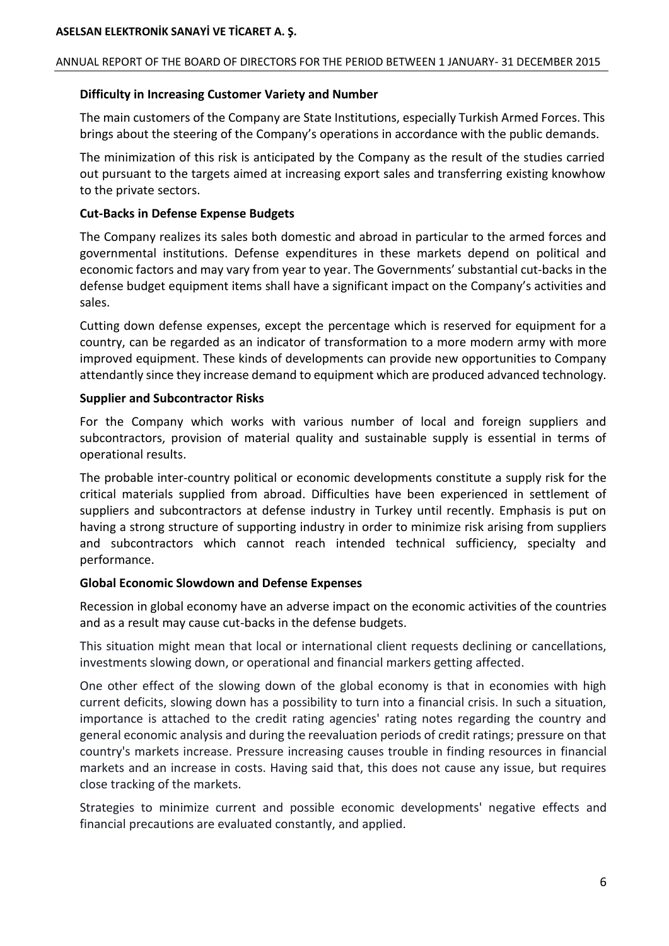### ANNUAL REPORT OF THE BOARD OF DIRECTORS FOR THE PERIOD BETWEEN 1 JANUARY- 31 DECEMBER 2015

## **Difficulty in Increasing Customer Variety and Number**

The main customers of the Company are State Institutions, especially Turkish Armed Forces. This brings about the steering of the Company's operations in accordance with the public demands.

The minimization of this risk is anticipated by the Company as the result of the studies carried out pursuant to the targets aimed at increasing export sales and transferring existing knowhow to the private sectors.

## **Cut-Backs in Defense Expense Budgets**

The Company realizes its sales both domestic and abroad in particular to the armed forces and governmental institutions. Defense expenditures in these markets depend on political and economic factors and may vary from year to year. The Governments' substantial cut-backs in the defense budget equipment items shall have a significant impact on the Company's activities and sales.

Cutting down defense expenses, except the percentage which is reserved for equipment for a country, can be regarded as an indicator of transformation to a more modern army with more improved equipment. These kinds of developments can provide new opportunities to Company attendantly since they increase demand to equipment which are produced advanced technology.

## **Supplier and Subcontractor Risks**

For the Company which works with various number of local and foreign suppliers and subcontractors, provision of material quality and sustainable supply is essential in terms of operational results.

The probable inter-country political or economic developments constitute a supply risk for the critical materials supplied from abroad. Difficulties have been experienced in settlement of suppliers and subcontractors at defense industry in Turkey until recently. Emphasis is put on having a strong structure of supporting industry in order to minimize risk arising from suppliers and subcontractors which cannot reach intended technical sufficiency, specialty and performance.

## **Global Economic Slowdown and Defense Expenses**

Recession in global economy have an adverse impact on the economic activities of the countries and as a result may cause cut-backs in the defense budgets.

This situation might mean that local or international client requests declining or cancellations, investments slowing down, or operational and financial markers getting affected.

One other effect of the slowing down of the global economy is that in economies with high current deficits, slowing down has a possibility to turn into a financial crisis. In such a situation, importance is attached to the credit rating agencies' rating notes regarding the country and general economic analysis and during the reevaluation periods of credit ratings; pressure on that country's markets increase. Pressure increasing causes trouble in finding resources in financial markets and an increase in costs. Having said that, this does not cause any issue, but requires close tracking of the markets.

Strategies to minimize current and possible economic developments' negative effects and financial precautions are evaluated constantly, and applied.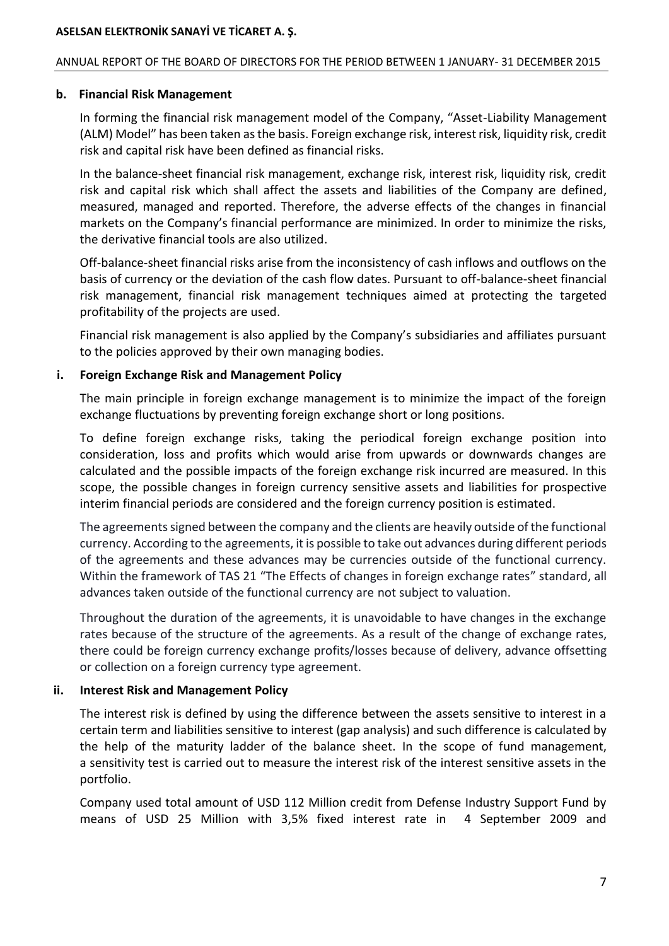#### ANNUAL REPORT OF THE BOARD OF DIRECTORS FOR THE PERIOD BETWEEN 1 JANUARY- 31 DECEMBER 2015

#### **b. Financial Risk Management**

In forming the financial risk management model of the Company, "Asset-Liability Management (ALM) Model" has been taken as the basis. Foreign exchange risk, interest risk, liquidity risk, credit risk and capital risk have been defined as financial risks.

In the balance-sheet financial risk management, exchange risk, interest risk, liquidity risk, credit risk and capital risk which shall affect the assets and liabilities of the Company are defined, measured, managed and reported. Therefore, the adverse effects of the changes in financial markets on the Company's financial performance are minimized. In order to minimize the risks, the derivative financial tools are also utilized.

Off-balance-sheet financial risks arise from the inconsistency of cash inflows and outflows on the basis of currency or the deviation of the cash flow dates. Pursuant to off-balance-sheet financial risk management, financial risk management techniques aimed at protecting the targeted profitability of the projects are used.

Financial risk management is also applied by the Company's subsidiaries and affiliates pursuant to the policies approved by their own managing bodies.

## **i. Foreign Exchange Risk and Management Policy**

The main principle in foreign exchange management is to minimize the impact of the foreign exchange fluctuations by preventing foreign exchange short or long positions.

To define foreign exchange risks, taking the periodical foreign exchange position into consideration, loss and profits which would arise from upwards or downwards changes are calculated and the possible impacts of the foreign exchange risk incurred are measured. In this scope, the possible changes in foreign currency sensitive assets and liabilities for prospective interim financial periods are considered and the foreign currency position is estimated.

The agreements signed between the company and the clients are heavily outside of the functional currency. According to the agreements, it is possible to take out advances during different periods of the agreements and these advances may be currencies outside of the functional currency. Within the framework of TAS 21 "The Effects of changes in foreign exchange rates" standard, all advances taken outside of the functional currency are not subject to valuation.

Throughout the duration of the agreements, it is unavoidable to have changes in the exchange rates because of the structure of the agreements. As a result of the change of exchange rates, there could be foreign currency exchange profits/losses because of delivery, advance offsetting or collection on a foreign currency type agreement.

## **ii. Interest Risk and Management Policy**

The interest risk is defined by using the difference between the assets sensitive to interest in a certain term and liabilities sensitive to interest (gap analysis) and such difference is calculated by the help of the maturity ladder of the balance sheet. In the scope of fund management, a sensitivity test is carried out to measure the interest risk of the interest sensitive assets in the portfolio.

Company used total amount of USD 112 Million credit from Defense Industry Support Fund by means of USD 25 Million with 3,5% fixed interest rate in 4 September 2009 and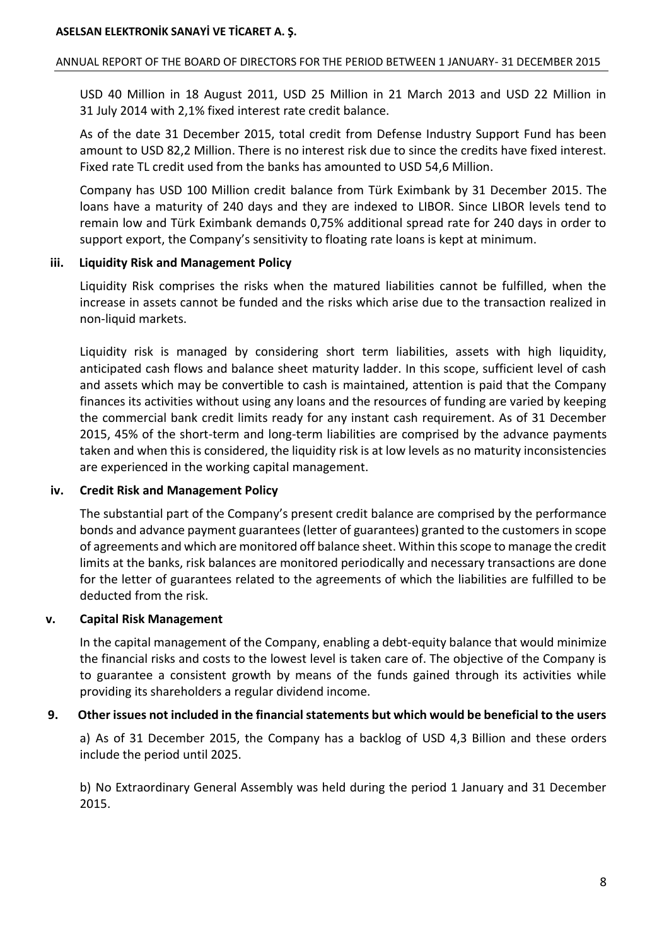### ANNUAL REPORT OF THE BOARD OF DIRECTORS FOR THE PERIOD BETWEEN 1 JANUARY- 31 DECEMBER 2015

USD 40 Million in 18 August 2011, USD 25 Million in 21 March 2013 and USD 22 Million in 31 July 2014 with 2,1% fixed interest rate credit balance.

As of the date 31 December 2015, total credit from Defense Industry Support Fund has been amount to USD 82,2 Million. There is no interest risk due to since the credits have fixed interest. Fixed rate TL credit used from the banks has amounted to USD 54,6 Million.

Company has USD 100 Million credit balance from Türk Eximbank by 31 December 2015. The loans have a maturity of 240 days and they are indexed to LIBOR. Since LIBOR levels tend to remain low and Türk Eximbank demands 0,75% additional spread rate for 240 days in order to support export, the Company's sensitivity to floating rate loans is kept at minimum.

## **iii. Liquidity Risk and Management Policy**

Liquidity Risk comprises the risks when the matured liabilities cannot be fulfilled, when the increase in assets cannot be funded and the risks which arise due to the transaction realized in non-liquid markets.

Liquidity risk is managed by considering short term liabilities, assets with high liquidity, anticipated cash flows and balance sheet maturity ladder. In this scope, sufficient level of cash and assets which may be convertible to cash is maintained, attention is paid that the Company finances its activities without using any loans and the resources of funding are varied by keeping the commercial bank credit limits ready for any instant cash requirement. As of 31 December 2015, 45% of the short-term and long-term liabilities are comprised by the advance payments taken and when this is considered, the liquidity risk is at low levels as no maturity inconsistencies are experienced in the working capital management.

## **iv. Credit Risk and Management Policy**

The substantial part of the Company's present credit balance are comprised by the performance bonds and advance payment guarantees (letter of guarantees) granted to the customers in scope of agreements and which are monitored off balance sheet. Within this scope to manage the credit limits at the banks, risk balances are monitored periodically and necessary transactions are done for the letter of guarantees related to the agreements of which the liabilities are fulfilled to be deducted from the risk.

## **v. Capital Risk Management**

In the capital management of the Company, enabling a debt-equity balance that would minimize the financial risks and costs to the lowest level is taken care of. The objective of the Company is to guarantee a consistent growth by means of the funds gained through its activities while providing its shareholders a regular dividend income.

## **9. Other issues not included in the financial statements but which would be beneficial to the users**

a) As of 31 December 2015, the Company has a backlog of USD 4,3 Billion and these orders include the period until 2025.

b) No Extraordinary General Assembly was held during the period 1 January and 31 December 2015.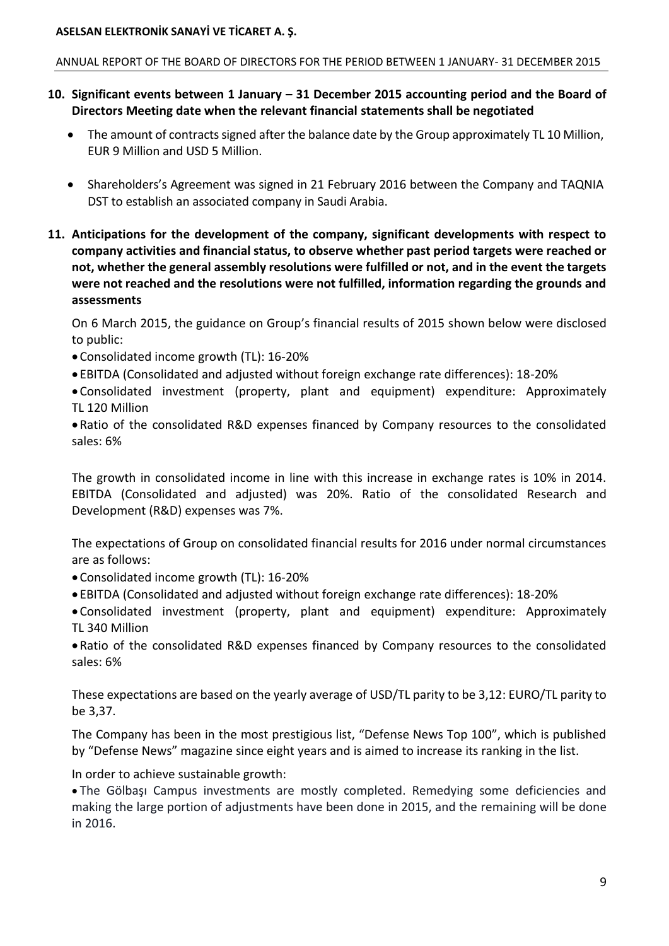#### ANNUAL REPORT OF THE BOARD OF DIRECTORS FOR THE PERIOD BETWEEN 1 JANUARY- 31 DECEMBER 2015

- **10. Significant events between 1 January – 31 December 2015 accounting period and the Board of Directors Meeting date when the relevant financial statements shall be negotiated**
	- The amount of contracts signed after the balance date by the Group approximately TL 10 Million, EUR 9 Million and USD 5 Million.
	- Shareholders's Agreement was signed in 21 February 2016 between the Company and TAQNIA DST to establish an associated company in Saudi Arabia.
- **11. Anticipations for the development of the company, significant developments with respect to company activities and financial status, to observe whether past period targets were reached or not, whether the general assembly resolutions were fulfilled or not, and in the event the targets were not reached and the resolutions were not fulfilled, information regarding the grounds and assessments**

On 6 March 2015, the guidance on Group's financial results of 2015 shown below were disclosed to public:

- Consolidated income growth (TL): 16-20%
- EBITDA (Consolidated and adjusted without foreign exchange rate differences): 18-20%

 Consolidated investment (property, plant and equipment) expenditure: Approximately TL 120 Million

 Ratio of the consolidated R&D expenses financed by Company resources to the consolidated sales: 6%

The growth in consolidated income in line with this increase in exchange rates is 10% in 2014. EBITDA (Consolidated and adjusted) was 20%. Ratio of the consolidated Research and Development (R&D) expenses was 7%.

The expectations of Group on consolidated financial results for 2016 under normal circumstances are as follows:

- Consolidated income growth (TL): 16-20%
- EBITDA (Consolidated and adjusted without foreign exchange rate differences): 18-20%
- Consolidated investment (property, plant and equipment) expenditure: Approximately TL 340 Million

 Ratio of the consolidated R&D expenses financed by Company resources to the consolidated sales: 6%

These expectations are based on the yearly average of USD/TL parity to be 3,12: EURO/TL parity to be 3,37.

The Company has been in the most prestigious list, "Defense News Top 100", which is published by "Defense News" magazine since eight years and is aimed to increase its ranking in the list.

In order to achieve sustainable growth:

 The Gölbaşı Campus investments are mostly completed. Remedying some deficiencies and making the large portion of adjustments have been done in 2015, and the remaining will be done in 2016.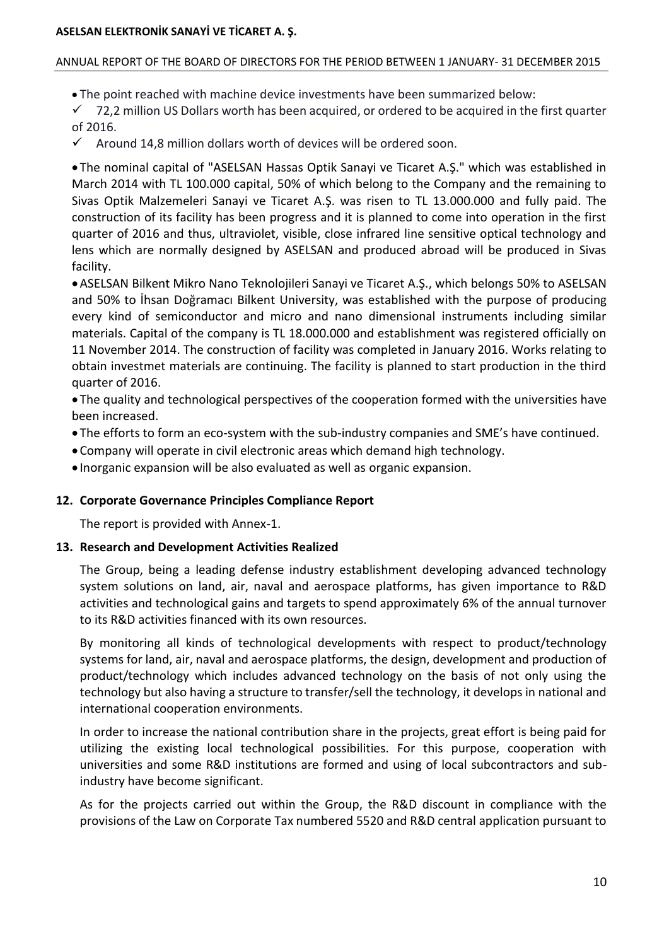#### ANNUAL REPORT OF THE BOARD OF DIRECTORS FOR THE PERIOD BETWEEN 1 JANUARY- 31 DECEMBER 2015

The point reached with machine device investments have been summarized below:

 $\checkmark$  72,2 million US Dollars worth has been acquired, or ordered to be acquired in the first quarter of 2016.

 $\checkmark$  Around 14,8 million dollars worth of devices will be ordered soon.

 The nominal capital of "ASELSAN Hassas Optik Sanayi ve Ticaret A.Ş." which was established in March 2014 with TL 100.000 capital, 50% of which belong to the Company and the remaining to Sivas Optik Malzemeleri Sanayi ve Ticaret A.Ş. was risen to TL 13.000.000 and fully paid. The construction of its facility has been progress and it is planned to come into operation in the first quarter of 2016 and thus, ultraviolet, visible, close infrared line sensitive optical technology and lens which are normally designed by ASELSAN and produced abroad will be produced in Sivas facility.

ASELSAN Bilkent Mikro Nano Teknolojileri Sanayi ve Ticaret A.Ş., which belongs 50% to ASELSAN and 50% to İhsan Doğramacı Bilkent University, was established with the purpose of producing every kind of semiconductor and micro and nano dimensional instruments including similar materials. Capital of the company is TL 18.000.000 and establishment was registered officially on 11 November 2014. The construction of facility was completed in January 2016. Works relating to obtain investmet materials are continuing. The facility is planned to start production in the third quarter of 2016.

 The quality and technological perspectives of the cooperation formed with the universities have been increased.

- The efforts to form an eco-system with the sub-industry companies and SME's have continued.
- Company will operate in civil electronic areas which demand high technology.
- Inorganic expansion will be also evaluated as well as organic expansion.

## **12. Corporate Governance Principles Compliance Report**

The report is provided with Annex-1.

## **13. Research and Development Activities Realized**

The Group, being a leading defense industry establishment developing advanced technology system solutions on land, air, naval and aerospace platforms, has given importance to R&D activities and technological gains and targets to spend approximately 6% of the annual turnover to its R&D activities financed with its own resources.

By monitoring all kinds of technological developments with respect to product/technology systems for land, air, naval and aerospace platforms, the design, development and production of product/technology which includes advanced technology on the basis of not only using the technology but also having a structure to transfer/sell the technology, it develops in national and international cooperation environments.

In order to increase the national contribution share in the projects, great effort is being paid for utilizing the existing local technological possibilities. For this purpose, cooperation with universities and some R&D institutions are formed and using of local subcontractors and subindustry have become significant.

As for the projects carried out within the Group, the R&D discount in compliance with the provisions of the Law on Corporate Tax numbered 5520 and R&D central application pursuant to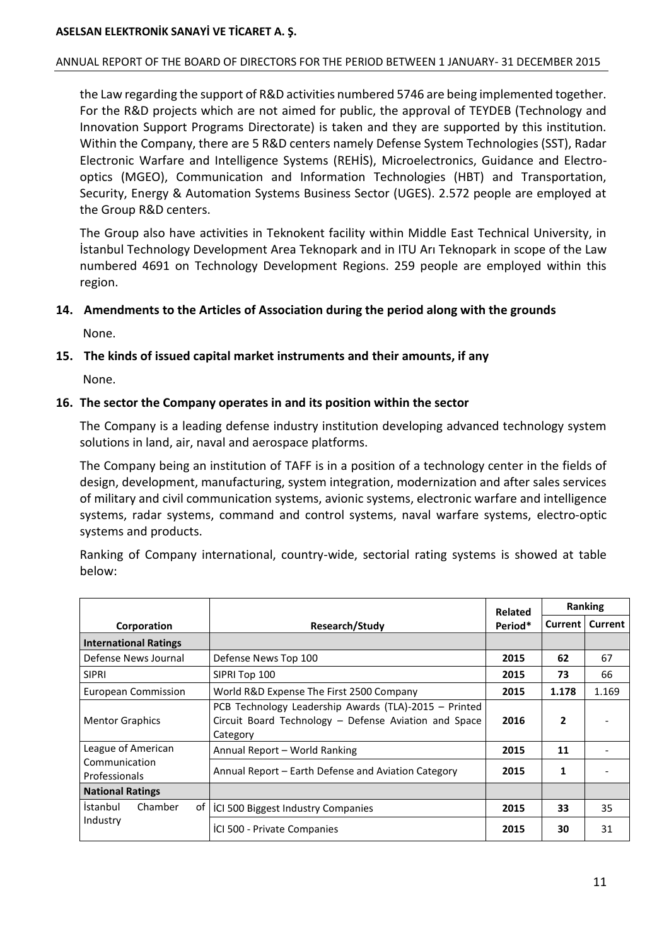#### ANNUAL REPORT OF THE BOARD OF DIRECTORS FOR THE PERIOD BETWEEN 1 JANUARY- 31 DECEMBER 2015

the Law regarding the support of R&D activities numbered 5746 are being implemented together. For the R&D projects which are not aimed for public, the approval of TEYDEB (Technology and Innovation Support Programs Directorate) is taken and they are supported by this institution. Within the Company, there are 5 R&D centers namely Defense System Technologies (SST), Radar Electronic Warfare and Intelligence Systems (REHİS), Microelectronics, Guidance and Electrooptics (MGEO), Communication and Information Technologies (HBT) and Transportation, Security, Energy & Automation Systems Business Sector (UGES). 2.572 people are employed at the Group R&D centers.

The Group also have activities in Teknokent facility within Middle East Technical University, in İstanbul Technology Development Area Teknopark and in ITU Arı Teknopark in scope of the Law numbered 4691 on Technology Development Regions. 259 people are employed within this region.

## **14. Amendments to the Articles of Association during the period along with the grounds**

None.

#### **15. The kinds of issued capital market instruments and their amounts, if any**

None.

#### **16. The sector the Company operates in and its position within the sector**

The Company is a leading defense industry institution developing advanced technology system solutions in land, air, naval and aerospace platforms.

The Company being an institution of TAFF is in a position of a technology center in the fields of design, development, manufacturing, system integration, modernization and after sales services of military and civil communication systems, avionic systems, electronic warfare and intelligence systems, radar systems, command and control systems, naval warfare systems, electro-optic systems and products.

Ranking of Company international, country-wide, sectorial rating systems is showed at table below:

|                                  |                                                                                                                            | Related |         | Ranking |
|----------------------------------|----------------------------------------------------------------------------------------------------------------------------|---------|---------|---------|
| Corporation                      | Research/Study                                                                                                             |         | Current | Current |
| <b>International Ratings</b>     |                                                                                                                            |         |         |         |
| Defense News Journal             | Defense News Top 100                                                                                                       | 2015    | 62      | 67      |
| <b>SIPRI</b>                     | SIPRI Top 100                                                                                                              | 2015    | 73      | 66      |
| <b>European Commission</b>       | World R&D Expense The First 2500 Company                                                                                   | 2015    | 1.178   | 1.169   |
| <b>Mentor Graphics</b>           | PCB Technology Leadership Awards (TLA)-2015 - Printed<br>Circuit Board Technology - Defense Aviation and Space<br>Category | 2016    | 2       |         |
| League of American               | Annual Report - World Ranking                                                                                              | 2015    | 11      |         |
| Communication<br>Professionals   | Annual Report – Earth Defense and Aviation Category                                                                        | 2015    | 1       |         |
| <b>National Ratings</b>          |                                                                                                                            |         |         |         |
| <i>Istanbul</i><br>Chamber<br>of | ICI 500 Biggest Industry Companies                                                                                         | 2015    | 33      | 35      |
| Industry                         | ICI 500 - Private Companies                                                                                                | 2015    | 30      | 31      |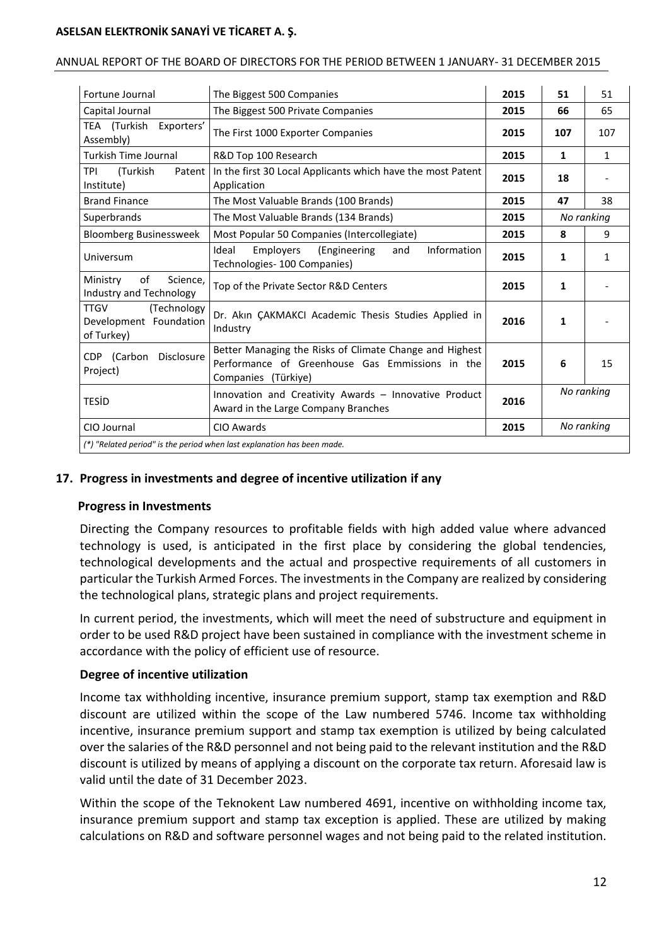#### ANNUAL REPORT OF THE BOARD OF DIRECTORS FOR THE PERIOD BETWEEN 1 JANUARY- 31 DECEMBER 2015

| Fortune Journal                                                    | The Biggest 500 Companies                                                                                                         |      | 51           | 51           |
|--------------------------------------------------------------------|-----------------------------------------------------------------------------------------------------------------------------------|------|--------------|--------------|
| Capital Journal                                                    | The Biggest 500 Private Companies                                                                                                 | 2015 | 66           | 65           |
| TEA (Turkish<br>Exporters'<br>Assembly)                            | The First 1000 Exporter Companies                                                                                                 | 2015 | 107          | 107          |
| <b>Turkish Time Journal</b>                                        | R&D Top 100 Research                                                                                                              | 2015 | $\mathbf{1}$ | $\mathbf{1}$ |
| TPI<br>(Turkish<br>Patent  <br>Institute)                          | In the first 30 Local Applicants which have the most Patent<br>Application                                                        | 2015 | 18           |              |
| <b>Brand Finance</b>                                               | The Most Valuable Brands (100 Brands)                                                                                             | 2015 | 47           | 38           |
| Superbrands                                                        | The Most Valuable Brands (134 Brands)                                                                                             | 2015 |              | No ranking   |
| <b>Bloomberg Businessweek</b>                                      | Most Popular 50 Companies (Intercollegiate)                                                                                       | 2015 | 8            | 9            |
| Universum                                                          | Information<br>Ideal<br>Employers<br>(Engineering<br>and<br>Technologies- 100 Companies)                                          |      | 1            | $\mathbf{1}$ |
| of<br>Ministry<br>Science,<br>Industry and Technology              | Top of the Private Sector R&D Centers                                                                                             | 2015 | 1            |              |
| (Technology<br><b>TTGV</b><br>Development Foundation<br>of Turkey) | Dr. Akın ÇAKMAKCI Academic Thesis Studies Applied in<br>Industry                                                                  |      | 1            |              |
| CDP (Carbon<br><b>Disclosure</b><br>Project)                       | Better Managing the Risks of Climate Change and Highest<br>Performance of Greenhouse Gas Emmissions in the<br>Companies (Türkiye) | 2015 | 6            | 15           |
| <b>TESID</b>                                                       | Innovation and Creativity Awards - Innovative Product<br>2016<br>Award in the Large Company Branches                              |      |              | No ranking   |
| CIO Journal<br>CIO Awards<br>2015                                  |                                                                                                                                   |      | No ranking   |              |
|                                                                    | (*) "Related period" is the period when last explanation has been made.                                                           |      |              |              |

## **17. Progress in investments and degree of incentive utilization if any**

#### **Progress in Investments**

Directing the Company resources to profitable fields with high added value where advanced technology is used, is anticipated in the first place by considering the global tendencies, technological developments and the actual and prospective requirements of all customers in particular the Turkish Armed Forces. The investments in the Company are realized by considering the technological plans, strategic plans and project requirements.

In current period, the investments, which will meet the need of substructure and equipment in order to be used R&D project have been sustained in compliance with the investment scheme in accordance with the policy of efficient use of resource.

#### **Degree of incentive utilization**

Income tax withholding incentive, insurance premium support, stamp tax exemption and R&D discount are utilized within the scope of the Law numbered 5746. Income tax withholding incentive, insurance premium support and stamp tax exemption is utilized by being calculated over the salaries of the R&D personnel and not being paid to the relevant institution and the R&D discount is utilized by means of applying a discount on the corporate tax return. Aforesaid law is valid until the date of 31 December 2023.

Within the scope of the Teknokent Law numbered 4691, incentive on withholding income tax, insurance premium support and stamp tax exception is applied. These are utilized by making calculations on R&D and software personnel wages and not being paid to the related institution.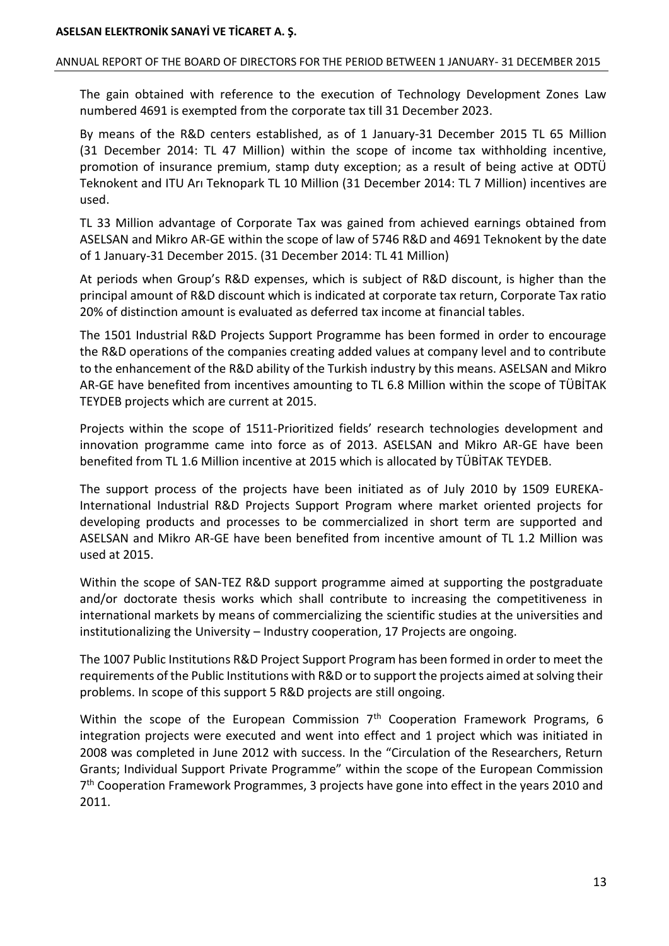#### ANNUAL REPORT OF THE BOARD OF DIRECTORS FOR THE PERIOD BETWEEN 1 JANUARY- 31 DECEMBER 2015

The gain obtained with reference to the execution of Technology Development Zones Law numbered 4691 is exempted from the corporate tax till 31 December 2023.

By means of the R&D centers established, as of 1 January-31 December 2015 TL 65 Million (31 December 2014: TL 47 Million) within the scope of income tax withholding incentive, promotion of insurance premium, stamp duty exception; as a result of being active at ODTÜ Teknokent and ITU Arı Teknopark TL 10 Million (31 December 2014: TL 7 Million) incentives are used.

TL 33 Million advantage of Corporate Tax was gained from achieved earnings obtained from ASELSAN and Mikro AR-GE within the scope of law of 5746 R&D and 4691 Teknokent by the date of 1 January-31 December 2015. (31 December 2014: TL 41 Million)

At periods when Group's R&D expenses, which is subject of R&D discount, is higher than the principal amount of R&D discount which is indicated at corporate tax return, Corporate Tax ratio 20% of distinction amount is evaluated as deferred tax income at financial tables.

The 1501 Industrial R&D Projects Support Programme has been formed in order to encourage the R&D operations of the companies creating added values at company level and to contribute to the enhancement of the R&D ability of the Turkish industry by this means. ASELSAN and Mikro AR-GE have benefited from incentives amounting to TL 6.8 Million within the scope of TÜBİTAK TEYDEB projects which are current at 2015.

Projects within the scope of 1511-Prioritized fields' research technologies development and innovation programme came into force as of 2013. ASELSAN and Mikro AR-GE have been benefited from TL 1.6 Million incentive at 2015 which is allocated by TÜBİTAK TEYDEB.

The support process of the projects have been initiated as of July 2010 by 1509 EUREKA-International Industrial R&D Projects Support Program where market oriented projects for developing products and processes to be commercialized in short term are supported and ASELSAN and Mikro AR-GE have been benefited from incentive amount of TL 1.2 Million was used at 2015.

Within the scope of SAN-TEZ R&D support programme aimed at supporting the postgraduate and/or doctorate thesis works which shall contribute to increasing the competitiveness in international markets by means of commercializing the scientific studies at the universities and institutionalizing the University – Industry cooperation, 17 Projects are ongoing.

The 1007 Public Institutions R&D Project Support Program has been formed in order to meet the requirements of the Public Institutions with R&D or to support the projects aimed at solving their problems. In scope of this support 5 R&D projects are still ongoing.

Within the scope of the European Commission  $7<sup>th</sup>$  Cooperation Framework Programs, 6 integration projects were executed and went into effect and 1 project which was initiated in 2008 was completed in June 2012 with success. In the "Circulation of the Researchers, Return Grants; Individual Support Private Programme" within the scope of the European Commission 7<sup>th</sup> Cooperation Framework Programmes, 3 projects have gone into effect in the years 2010 and 2011.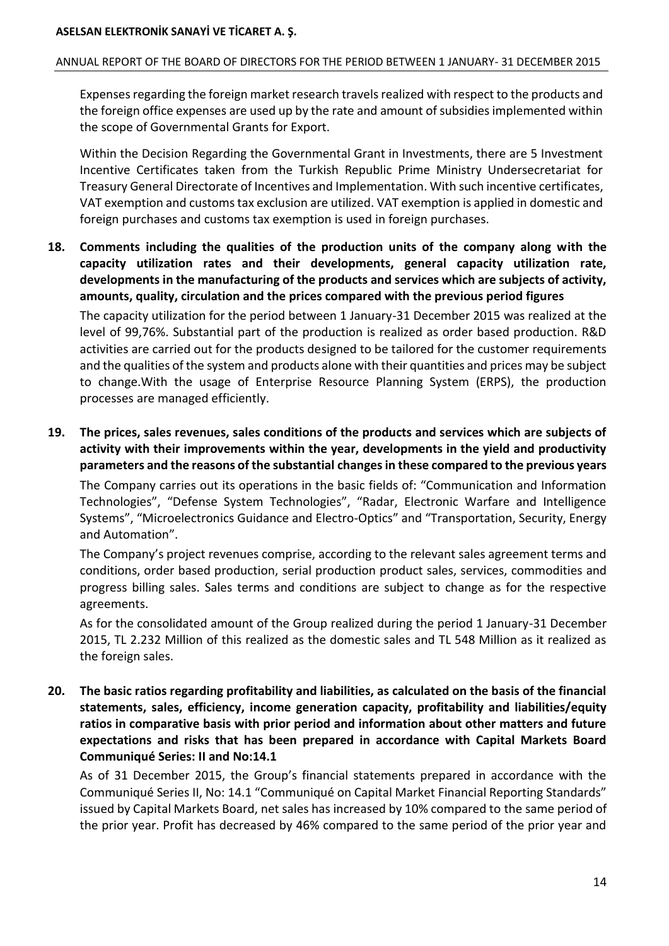## ANNUAL REPORT OF THE BOARD OF DIRECTORS FOR THE PERIOD BETWEEN 1 JANUARY- 31 DECEMBER 2015

Expenses regarding the foreign market research travels realized with respect to the products and the foreign office expenses are used up by the rate and amount of subsidies implemented within the scope of Governmental Grants for Export.

Within the Decision Regarding the Governmental Grant in Investments, there are 5 Investment Incentive Certificates taken from the Turkish Republic Prime Ministry Undersecretariat for Treasury General Directorate of Incentives and Implementation. With such incentive certificates, VAT exemption and customs tax exclusion are utilized. VAT exemption is applied in domestic and foreign purchases and customs tax exemption is used in foreign purchases.

**18. Comments including the qualities of the production units of the company along with the capacity utilization rates and their developments, general capacity utilization rate, developments in the manufacturing of the products and services which are subjects of activity, amounts, quality, circulation and the prices compared with the previous period figures**

The capacity utilization for the period between 1 January-31 December 2015 was realized at the level of 99,76%. Substantial part of the production is realized as order based production. R&D activities are carried out for the products designed to be tailored for the customer requirements and the qualities of the system and products alone with their quantities and prices may be subject to change.With the usage of Enterprise Resource Planning System (ERPS), the production processes are managed efficiently.

**19. The prices, sales revenues, sales conditions of the products and services which are subjects of activity with their improvements within the year, developments in the yield and productivity parameters and the reasons of the substantial changes in these compared to the previous years**

The Company carries out its operations in the basic fields of: "Communication and Information Technologies", "Defense System Technologies", "Radar, Electronic Warfare and Intelligence Systems", "Microelectronics Guidance and Electro-Optics" and "Transportation, Security, Energy and Automation".

The Company's project revenues comprise, according to the relevant sales agreement terms and conditions, order based production, serial production product sales, services, commodities and progress billing sales. Sales terms and conditions are subject to change as for the respective agreements.

As for the consolidated amount of the Group realized during the period 1 January-31 December 2015, TL 2.232 Million of this realized as the domestic sales and TL 548 Million as it realized as the foreign sales.

**20. The basic ratios regarding profitability and liabilities, as calculated on the basis of the financial statements, sales, efficiency, income generation capacity, profitability and liabilities/equity ratios in comparative basis with prior period and information about other matters and future expectations and risks that has been prepared in accordance with Capital Markets Board Communiqué Series: II and No:14.1**

As of 31 December 2015, the Group's financial statements prepared in accordance with the Communiqué Series II, No: 14.1 "Communiqué on Capital Market Financial Reporting Standards" issued by Capital Markets Board, net sales has increased by 10% compared to the same period of the prior year. Profit has decreased by 46% compared to the same period of the prior year and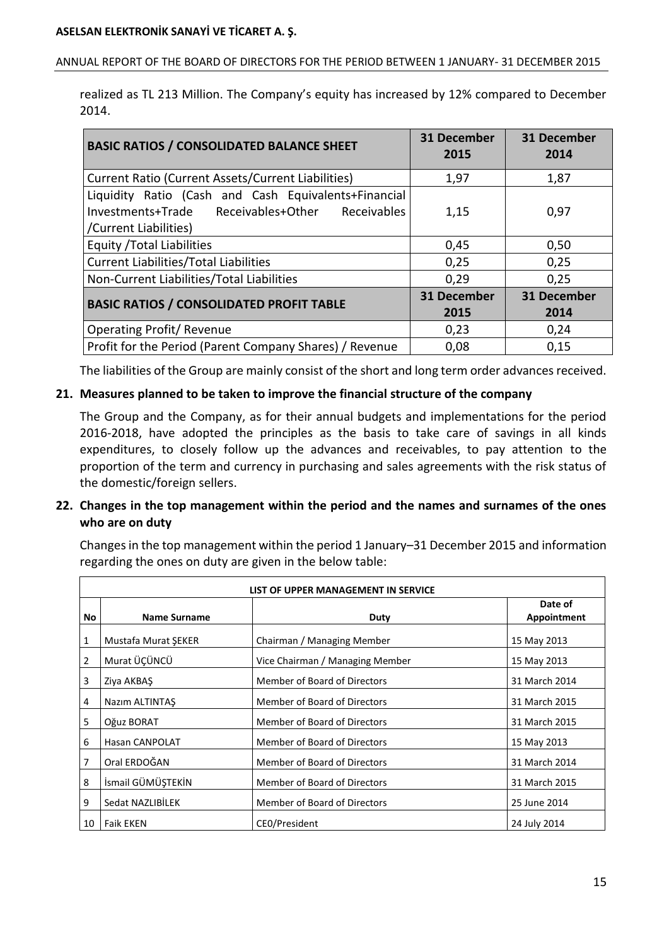#### ANNUAL REPORT OF THE BOARD OF DIRECTORS FOR THE PERIOD BETWEEN 1 JANUARY- 31 DECEMBER 2015

realized as TL 213 Million. The Company's equity has increased by 12% compared to December 2014.

| <b>BASIC RATIOS / CONSOLIDATED BALANCE SHEET</b>                                                                                 | <b>31 December</b><br>2015 | 31 December<br>2014 |
|----------------------------------------------------------------------------------------------------------------------------------|----------------------------|---------------------|
| Current Ratio (Current Assets/Current Liabilities)                                                                               | 1,97                       | 1,87                |
| Liquidity Ratio (Cash and Cash Equivalents+Financial<br>Investments+Trade Receivables+Other Receivables<br>/Current Liabilities) | 1,15                       | 0,97                |
| <b>Equity / Total Liabilities</b>                                                                                                | 0,45                       | 0,50                |
| <b>Current Liabilities/Total Liabilities</b>                                                                                     | 0,25                       | 0,25                |
| Non-Current Liabilities/Total Liabilities                                                                                        | 0,29                       | 0,25                |
| <b>BASIC RATIOS / CONSOLIDATED PROFIT TABLE</b>                                                                                  | <b>31 December</b><br>2015 | 31 December<br>2014 |
| <b>Operating Profit/ Revenue</b>                                                                                                 | 0,23                       | 0,24                |
| Profit for the Period (Parent Company Shares) / Revenue                                                                          | 0,08                       | 0,15                |

The liabilities of the Group are mainly consist of the short and long term order advances received.

## **21. Measures planned to be taken to improve the financial structure of the company**

The Group and the Company, as for their annual budgets and implementations for the period 2016-2018, have adopted the principles as the basis to take care of savings in all kinds expenditures, to closely follow up the advances and receivables, to pay attention to the proportion of the term and currency in purchasing and sales agreements with the risk status of the domestic/foreign sellers.

## **22. Changes in the top management within the period and the names and surnames of the ones who are on duty**

Changes in the top management within the period 1 January–31 December 2015 and information regarding the ones on duty are given in the below table:

|    | LIST OF UPPER MANAGEMENT IN SERVICE |                                 |                        |  |
|----|-------------------------------------|---------------------------------|------------------------|--|
| No | <b>Name Surname</b>                 | Duty                            | Date of<br>Appointment |  |
| 1  | Mustafa Murat SEKER                 | Chairman / Managing Member      | 15 May 2013            |  |
| 2  | Murat ÜÇÜNCÜ                        | Vice Chairman / Managing Member | 15 May 2013            |  |
| 3  | Ziya AKBAŞ                          | Member of Board of Directors    | 31 March 2014          |  |
| 4  | Nazım ALTINTAŞ                      | Member of Board of Directors    | 31 March 2015          |  |
| 5  | Oğuz BORAT                          | Member of Board of Directors    | 31 March 2015          |  |
| 6  | <b>Hasan CANPOLAT</b>               | Member of Board of Directors    | 15 May 2013            |  |
| 7  | Oral ERDOĞAN                        | Member of Board of Directors    | 31 March 2014          |  |
| 8  | İsmail GÜMÜŞTEKİN                   | Member of Board of Directors    | 31 March 2015          |  |
| 9  | Sedat NAZLIBİLEK                    | Member of Board of Directors    | 25 June 2014           |  |
| 10 | <b>Faik EKEN</b>                    | CEO/President                   | 24 July 2014           |  |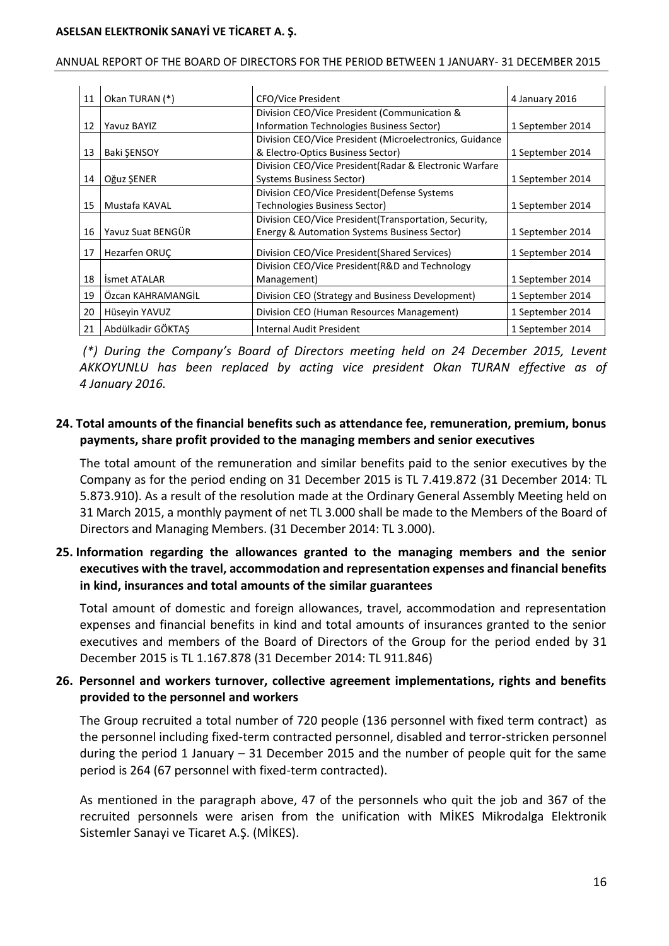#### ANNUAL REPORT OF THE BOARD OF DIRECTORS FOR THE PERIOD BETWEEN 1 JANUARY- 31 DECEMBER 2015

| 11 | Okan TURAN (*)      | <b>CFO/Vice President</b>                               | 4 January 2016   |
|----|---------------------|---------------------------------------------------------|------------------|
|    |                     | Division CEO/Vice President (Communication &            |                  |
| 12 | Yavuz BAYIZ         | Information Technologies Business Sector)               | 1 September 2014 |
|    |                     | Division CEO/Vice President (Microelectronics, Guidance |                  |
| 13 | <b>Baki SENSOY</b>  | & Electro-Optics Business Sector)                       | 1 September 2014 |
|    |                     | Division CEO/Vice President (Radar & Electronic Warfare |                  |
| 14 | Oğuz ŞENER          | Systems Business Sector)                                | 1 September 2014 |
|    |                     | Division CEO/Vice President (Defense Systems            |                  |
| 15 | Mustafa KAVAL       | Technologies Business Sector)                           | 1 September 2014 |
|    |                     | Division CEO/Vice President(Transportation, Security,   |                  |
| 16 | Yayuz Suat BENGÜR   | Energy & Automation Systems Business Sector)            | 1 September 2014 |
| 17 | Hezarfen ORUC       | Division CEO/Vice President (Shared Services)           | 1 September 2014 |
|    |                     | Division CEO/Vice President (R&D and Technology         |                  |
| 18 | <b>Ismet ATALAR</b> | Management)                                             | 1 September 2014 |
| 19 | Özcan KAHRAMANGİL   | Division CEO (Strategy and Business Development)        | 1 September 2014 |
| 20 | Hüseyin YAVUZ       | Division CEO (Human Resources Management)               | 1 September 2014 |
| 21 | Abdülkadir GÖKTAS   | Internal Audit President                                | 1 September 2014 |

*(\*) During the Company's Board of Directors meeting held on 24 December 2015, Levent AKKOYUNLU has been replaced by acting vice president Okan TURAN effective as of 4 January 2016.*

## **24. Total amounts of the financial benefits such as attendance fee, remuneration, premium, bonus payments, share profit provided to the managing members and senior executives**

The total amount of the remuneration and similar benefits paid to the senior executives by the Company as for the period ending on 31 December 2015 is TL 7.419.872 (31 December 2014: TL 5.873.910). As a result of the resolution made at the Ordinary General Assembly Meeting held on 31 March 2015, a monthly payment of net TL 3.000 shall be made to the Members of the Board of Directors and Managing Members. (31 December 2014: TL 3.000).

## **25. Information regarding the allowances granted to the managing members and the senior executives with the travel, accommodation and representation expenses and financial benefits in kind, insurances and total amounts of the similar guarantees**

Total amount of domestic and foreign allowances, travel, accommodation and representation expenses and financial benefits in kind and total amounts of insurances granted to the senior executives and members of the Board of Directors of the Group for the period ended by 31 December 2015 is TL 1.167.878 (31 December 2014: TL 911.846)

## **26. Personnel and workers turnover, collective agreement implementations, rights and benefits provided to the personnel and workers**

The Group recruited a total number of 720 people (136 personnel with fixed term contract) as the personnel including fixed-term contracted personnel, disabled and terror-stricken personnel during the period 1 January – 31 December 2015 and the number of people quit for the same period is 264 (67 personnel with fixed-term contracted).

As mentioned in the paragraph above, 47 of the personnels who quit the job and 367 of the recruited personnels were arisen from the unification with MİKES Mikrodalga Elektronik Sistemler Sanayi ve Ticaret A.Ş. (MİKES).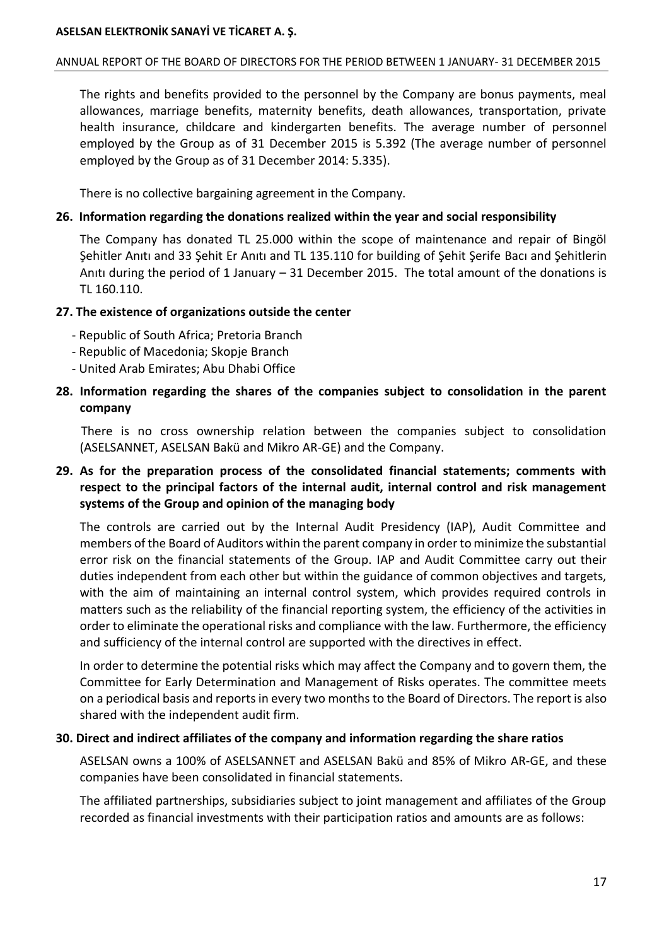### ANNUAL REPORT OF THE BOARD OF DIRECTORS FOR THE PERIOD BETWEEN 1 JANUARY- 31 DECEMBER 2015

The rights and benefits provided to the personnel by the Company are bonus payments, meal allowances, marriage benefits, maternity benefits, death allowances, transportation, private health insurance, childcare and kindergarten benefits. The average number of personnel employed by the Group as of 31 December 2015 is 5.392 (The average number of personnel employed by the Group as of 31 December 2014: 5.335).

There is no collective bargaining agreement in the Company.

## **26. Information regarding the donations realized within the year and social responsibility**

The Company has donated TL 25.000 within the scope of maintenance and repair of Bingöl Şehitler Anıtı and 33 Şehit Er Anıtı and TL 135.110 for building of Şehit Şerife Bacı and Şehitlerin Anıtı during the period of 1 January – 31 December 2015. The total amount of the donations is TL 160.110.

## **27. The existence of organizations outside the center**

- Republic of South Africa; Pretoria Branch
- Republic of Macedonia; Skopje Branch
- United Arab Emirates; Abu Dhabi Office

## **28. Information regarding the shares of the companies subject to consolidation in the parent company**

 There is no cross ownership relation between the companies subject to consolidation (ASELSANNET, ASELSAN Bakü and Mikro AR-GE) and the Company.

## **29. As for the preparation process of the consolidated financial statements; comments with respect to the principal factors of the internal audit, internal control and risk management systems of the Group and opinion of the managing body**

The controls are carried out by the Internal Audit Presidency (IAP), Audit Committee and members of the Board of Auditors within the parent company in order to minimize the substantial error risk on the financial statements of the Group. IAP and Audit Committee carry out their duties independent from each other but within the guidance of common objectives and targets, with the aim of maintaining an internal control system, which provides required controls in matters such as the reliability of the financial reporting system, the efficiency of the activities in order to eliminate the operational risks and compliance with the law. Furthermore, the efficiency and sufficiency of the internal control are supported with the directives in effect.

In order to determine the potential risks which may affect the Company and to govern them, the Committee for Early Determination and Management of Risks operates. The committee meets on a periodical basis and reports in every two months to the Board of Directors. The report is also shared with the independent audit firm.

## **30. Direct and indirect affiliates of the company and information regarding the share ratios**

ASELSAN owns a 100% of ASELSANNET and ASELSAN Bakü and 85% of Mikro AR-GE, and these companies have been consolidated in financial statements.

The affiliated partnerships, subsidiaries subject to joint management and affiliates of the Group recorded as financial investments with their participation ratios and amounts are as follows: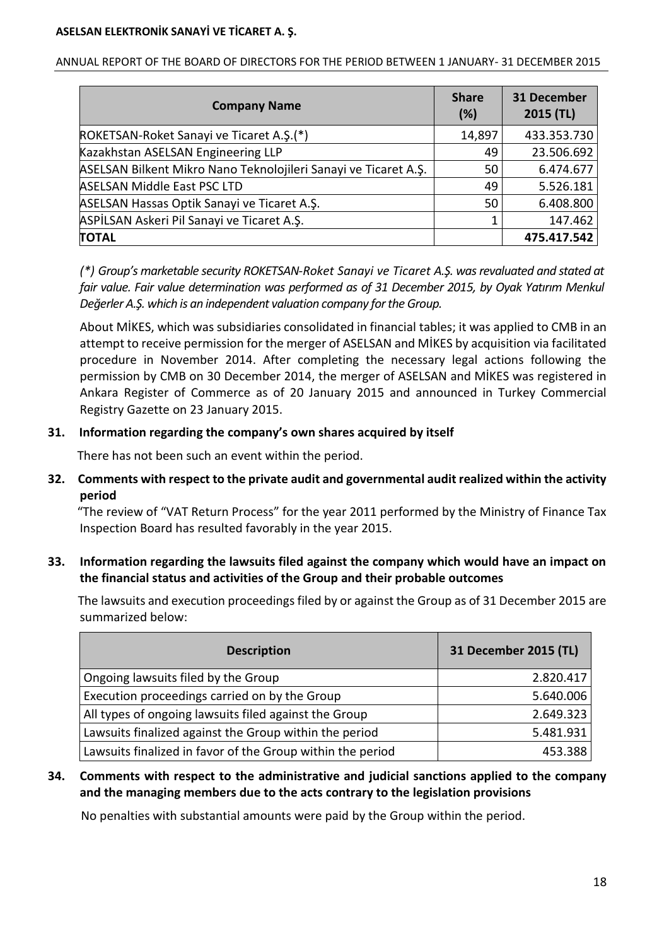| <b>Company Name</b>                                             | <b>Share</b><br>(%) | <b>31 December</b><br>$2015$ (TL) |
|-----------------------------------------------------------------|---------------------|-----------------------------------|
| ROKETSAN-Roket Sanayi ve Ticaret A.Ş.(*)                        | 14,897              | 433.353.730                       |
| Kazakhstan ASELSAN Engineering LLP                              | 49                  | 23.506.692                        |
| ASELSAN Bilkent Mikro Nano Teknolojileri Sanayi ve Ticaret A.Ş. | 50                  | 6.474.677                         |
| <b>ASELSAN Middle East PSC LTD</b>                              | 49                  | 5.526.181                         |
| ASELSAN Hassas Optik Sanayi ve Ticaret A.Ş.                     | 50                  | 6.408.800                         |
| ASPİLSAN Askeri Pil Sanayi ve Ticaret A.Ş.                      | 1                   | 147.462                           |
| <b>TOTAL</b>                                                    |                     | 475.417.542                       |

ANNUAL REPORT OF THE BOARD OF DIRECTORS FOR THE PERIOD BETWEEN 1 JANUARY- 31 DECEMBER 2015

*(\*) Group's marketable security ROKETSAN-Roket Sanayi ve Ticaret A.Ş. was revaluated and stated at fair value. Fair value determination was performed as of 31 December 2015, by Oyak Yatırım Menkul Değerler A.Ş. which is an independent valuation company forthe Group.*

About MİKES, which was subsidiaries consolidated in financial tables; it was applied to CMB in an attempt to receive permission for the merger of ASELSAN and MİKES by acquisition via facilitated procedure in November 2014. After completing the necessary legal actions following the permission by CMB on 30 December 2014, the merger of ASELSAN and MİKES was registered in Ankara Register of Commerce as of 20 January 2015 and announced in Turkey Commercial Registry Gazette on 23 January 2015.

## **31. Information regarding the company's own shares acquired by itself**

There has not been such an event within the period.

**32. Comments with respect to the private audit and governmental audit realized within the activity period**

 "The review of "VAT Return Process" for the year 2011 performed by the Ministry of Finance Tax Inspection Board has resulted favorably in the year 2015.

**33. Information regarding the lawsuits filed against the company which would have an impact on the financial status and activities of the Group and their probable outcomes**

 The lawsuits and execution proceedings filed by or against the Group as of 31 December 2015 are summarized below:

| <b>Description</b>                                         | 31 December 2015 (TL) |
|------------------------------------------------------------|-----------------------|
| Ongoing lawsuits filed by the Group                        | 2.820.417             |
| Execution proceedings carried on by the Group              | 5.640.006             |
| All types of ongoing lawsuits filed against the Group      | 2.649.323             |
| Lawsuits finalized against the Group within the period     | 5.481.931             |
| Lawsuits finalized in favor of the Group within the period | 453.388               |

**34. Comments with respect to the administrative and judicial sanctions applied to the company and the managing members due to the acts contrary to the legislation provisions**

No penalties with substantial amounts were paid by the Group within the period.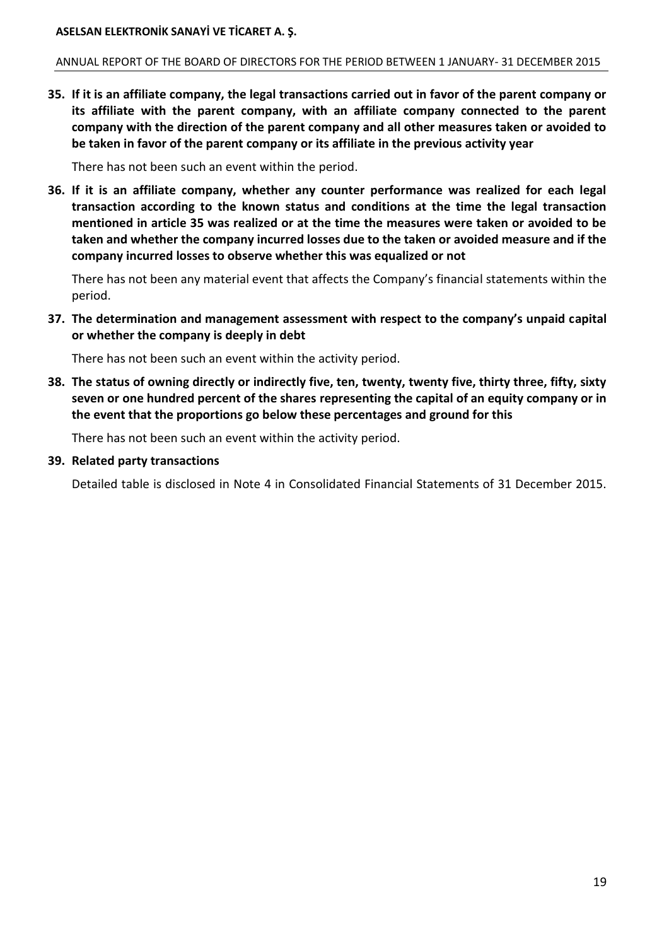#### ANNUAL REPORT OF THE BOARD OF DIRECTORS FOR THE PERIOD BETWEEN 1 JANUARY- 31 DECEMBER 2015

**35. If it is an affiliate company, the legal transactions carried out in favor of the parent company or its affiliate with the parent company, with an affiliate company connected to the parent company with the direction of the parent company and all other measures taken or avoided to be taken in favor of the parent company or its affiliate in the previous activity year**

There has not been such an event within the period.

**36. If it is an affiliate company, whether any counter performance was realized for each legal transaction according to the known status and conditions at the time the legal transaction mentioned in article 35 was realized or at the time the measures were taken or avoided to be taken and whether the company incurred losses due to the taken or avoided measure and if the company incurred losses to observe whether this was equalized or not**

There has not been any material event that affects the Company's financial statements within the period.

**37. The determination and management assessment with respect to the company's unpaid capital or whether the company is deeply in debt**

There has not been such an event within the activity period.

**38. The status of owning directly or indirectly five, ten, twenty, twenty five, thirty three, fifty, sixty seven or one hundred percent of the shares representing the capital of an equity company or in the event that the proportions go below these percentages and ground for this**

There has not been such an event within the activity period.

#### **39. Related party transactions**

Detailed table is disclosed in Note 4 in Consolidated Financial Statements of 31 December 2015.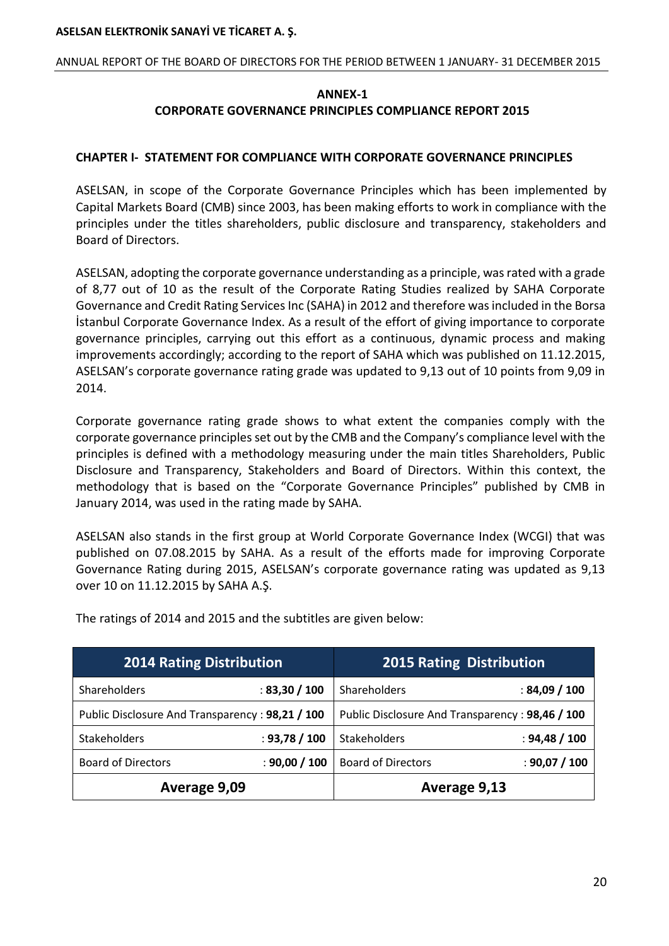#### ANNUAL REPORT OF THE BOARD OF DIRECTORS FOR THE PERIOD BETWEEN 1 JANUARY- 31 DECEMBER 2015

## **ANNEX-1 CORPORATE GOVERNANCE PRINCIPLES COMPLIANCE REPORT 2015**

## **CHAPTER I- STATEMENT FOR COMPLIANCE WITH CORPORATE GOVERNANCE PRINCIPLES**

ASELSAN, in scope of the Corporate Governance Principles which has been implemented by Capital Markets Board (CMB) since 2003, has been making efforts to work in compliance with the principles under the titles shareholders, public disclosure and transparency, stakeholders and Board of Directors.

ASELSAN, adopting the corporate governance understanding as a principle, was rated with a grade of 8,77 out of 10 as the result of the Corporate Rating Studies realized by SAHA Corporate Governance and Credit Rating Services Inc (SAHA) in 2012 and therefore was included in the Borsa İstanbul Corporate Governance Index. As a result of the effort of giving importance to corporate governance principles, carrying out this effort as a continuous, dynamic process and making improvements accordingly; according to the report of SAHA which was published on 11.12.2015, ASELSAN's corporate governance rating grade was updated to 9,13 out of 10 points from 9,09 in 2014.

Corporate governance rating grade shows to what extent the companies comply with the corporate governance principles set out by the CMB and the Company's compliance level with the principles is defined with a methodology measuring under the main titles Shareholders, Public Disclosure and Transparency, Stakeholders and Board of Directors. Within this context, the methodology that is based on the "Corporate Governance Principles" published by CMB in January 2014, was used in the rating made by SAHA.

ASELSAN also stands in the first group at World Corporate Governance Index (WCGI) that was published on 07.08.2015 by SAHA. As a result of the efforts made for improving Corporate Governance Rating during 2015, ASELSAN's corporate governance rating was updated as 9,13 over 10 on 11.12.2015 by SAHA A.Ş.

| <b>2014 Rating Distribution</b>                 |               | <b>2015 Rating Distribution</b>                 |               |
|-------------------------------------------------|---------------|-------------------------------------------------|---------------|
| Shareholders                                    | : 83,30 / 100 | Shareholders                                    | :84,09/100    |
| Public Disclosure And Transparency: 98,21 / 100 |               | Public Disclosure And Transparency: 98,46 / 100 |               |
| <b>Stakeholders</b>                             | : 93,78 / 100 | Stakeholders                                    | : 94,48 / 100 |
| <b>Board of Directors</b>                       | : 90,00 / 100 | <b>Board of Directors</b>                       | : 90,07 / 100 |
| Average 9,09                                    |               | Average 9,13                                    |               |

The ratings of 2014 and 2015 and the subtitles are given below: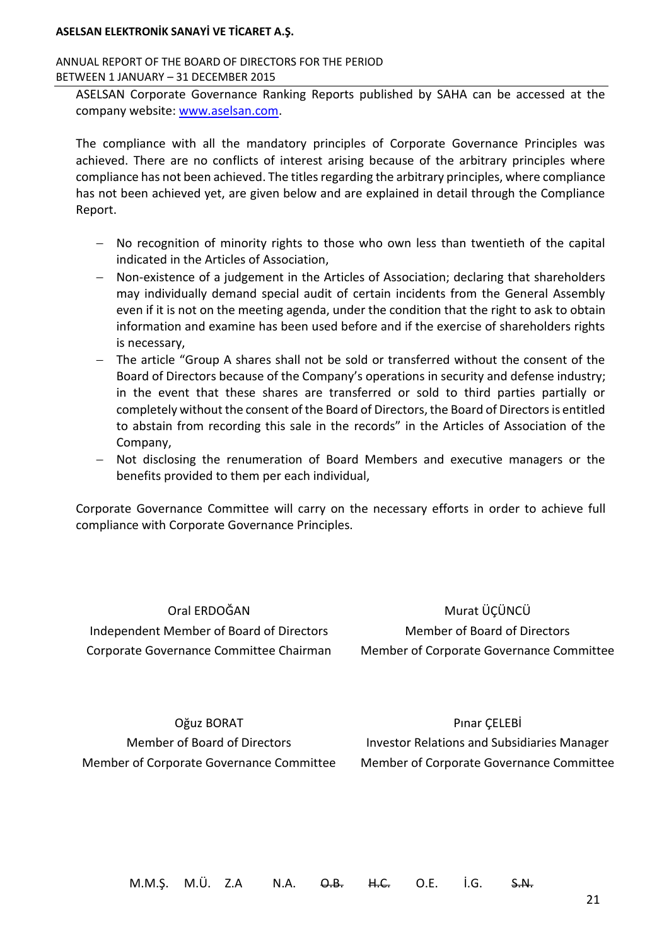#### ANNUAL REPORT OF THE BOARD OF DIRECTORS FOR THE PERIOD BETWEEN 1 JANUARY – 31 DECEMBER 2015

ASELSAN Corporate Governance Ranking Reports published by SAHA can be accessed at the company website: [www.aselsan.com.](http://www.aselsan.com/)

The compliance with all the mandatory principles of Corporate Governance Principles was achieved. There are no conflicts of interest arising because of the arbitrary principles where compliance has not been achieved. The titles regarding the arbitrary principles, where compliance has not been achieved yet, are given below and are explained in detail through the Compliance Report.

- No recognition of minority rights to those who own less than twentieth of the capital indicated in the Articles of Association,
- Non-existence of a judgement in the Articles of Association; declaring that shareholders may individually demand special audit of certain incidents from the General Assembly even if it is not on the meeting agenda, under the condition that the right to ask to obtain information and examine has been used before and if the exercise of shareholders rights is necessary,
- The article "Group A shares shall not be sold or transferred without the consent of the Board of Directors because of the Company's operations in security and defense industry; in the event that these shares are transferred or sold to third parties partially or completely without the consent of the Board of Directors, the Board of Directors is entitled to abstain from recording this sale in the records" in the Articles of Association of the Company,
- Not disclosing the renumeration of Board Members and executive managers or the benefits provided to them per each individual,

Corporate Governance Committee will carry on the necessary efforts in order to achieve full compliance with Corporate Governance Principles.

Oral ERDOĞAN Independent Member of Board of Directors Corporate Governance Committee Chairman

Murat ÜÇÜNCÜ Member of Board of Directors Member of Corporate Governance Committee

Oğuz BORAT Member of Board of Directors Member of Corporate Governance Committee

Pınar ÇELEBİ Investor Relations and Subsidiaries Manager Member of Corporate Governance Committee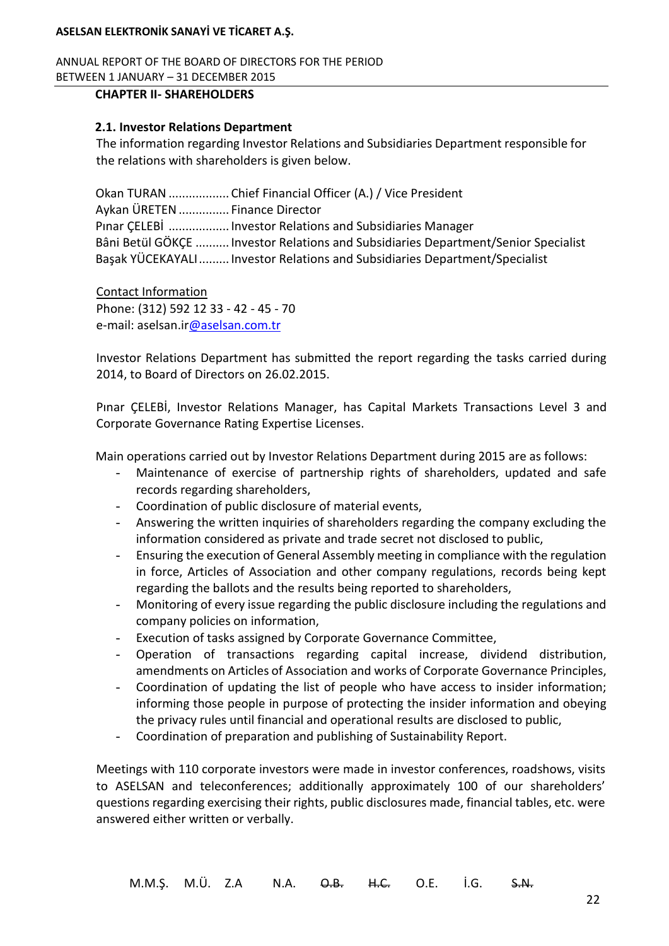ANNUAL REPORT OF THE BOARD OF DIRECTORS FOR THE PERIOD BETWEEN 1 JANUARY – 31 DECEMBER 2015

#### **CHAPTER II- SHAREHOLDERS**

### **2.1. Investor Relations Department**

The information regarding Investor Relations and Subsidiaries Department responsible for the relations with shareholders is given below.

Okan TURAN .................. Chief Financial Officer (A.) / Vice President Aykan ÜRETEN............... Finance Director Pınar ÇELEBİ .................. Investor Relations and Subsidiaries Manager Bâni Betül GÖKÇE .......... Investor Relations and Subsidiaries Department/Senior Specialist Başak YÜCEKAYALI......... Investor Relations and Subsidiaries Department/Specialist

Contact Information Phone: (312) 592 12 33 - 42 - 45 - 70 e-mail: aselsan.i[r@aselsan.com.tr](mailto:o@aselsan.com.tr)

Investor Relations Department has submitted the report regarding the tasks carried during 2014, to Board of Directors on 26.02.2015.

Pınar ÇELEBİ, Investor Relations Manager, has Capital Markets Transactions Level 3 and Corporate Governance Rating Expertise Licenses.

Main operations carried out by Investor Relations Department during 2015 are as follows:

- Maintenance of exercise of partnership rights of shareholders, updated and safe records regarding shareholders,
- Coordination of public disclosure of material events,
- Answering the written inquiries of shareholders regarding the company excluding the information considered as private and trade secret not disclosed to public,
- Ensuring the execution of General Assembly meeting in compliance with the regulation in force, Articles of Association and other company regulations, records being kept regarding the ballots and the results being reported to shareholders,
- Monitoring of every issue regarding the public disclosure including the regulations and company policies on information,
- Execution of tasks assigned by Corporate Governance Committee,
- Operation of transactions regarding capital increase, dividend distribution, amendments on Articles of Association and works of Corporate Governance Principles,
- Coordination of updating the list of people who have access to insider information; informing those people in purpose of protecting the insider information and obeying the privacy rules until financial and operational results are disclosed to public,
- Coordination of preparation and publishing of Sustainability Report.

Meetings with 110 corporate investors were made in investor conferences, roadshows, visits to ASELSAN and teleconferences; additionally approximately 100 of our shareholders' questions regarding exercising their rights, public disclosures made, financial tables, etc. were answered either written or verbally.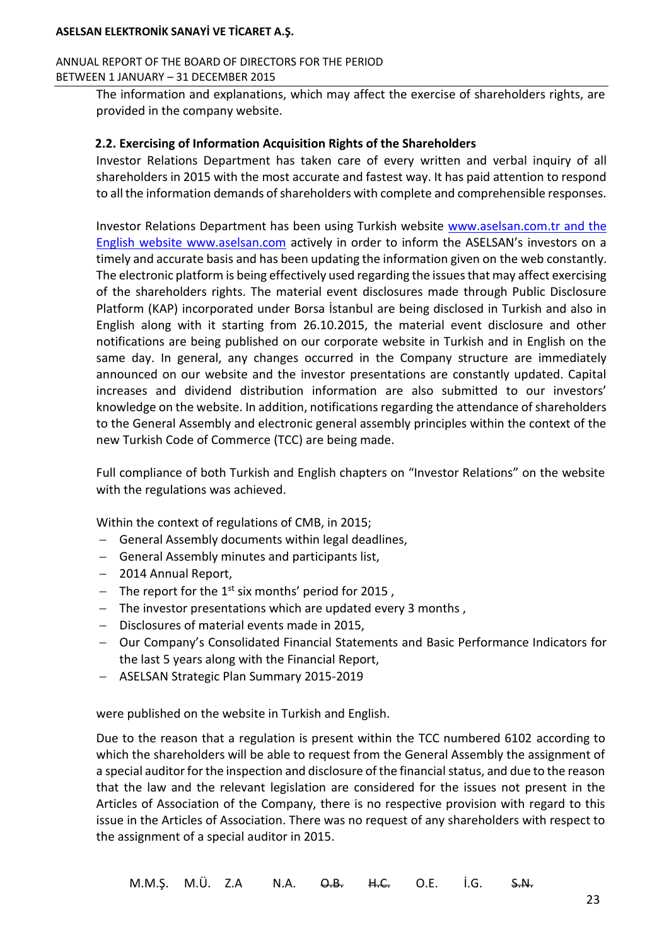#### ANNUAL REPORT OF THE BOARD OF DIRECTORS FOR THE PERIOD BETWEEN 1 JANUARY – 31 DECEMBER 2015

The information and explanations, which may affect the exercise of shareholders rights, are provided in the company website.

### **2.2. Exercising of Information Acquisition Rights of the Shareholders**

Investor Relations Department has taken care of every written and verbal inquiry of all shareholders in 2015 with the most accurate and fastest way. It has paid attention to respond to all the information demands of shareholders with complete and comprehensible responses.

Investor Relations Department has been using Turkish website [www.aselsan.com.tr](http://www.aselsan.com.tr/) and the English website www.aselsan.com actively in order to inform the ASELSAN's investors on a timely and accurate basis and has been updating the information given on the web constantly. The electronic platform is being effectively used regarding the issues that may affect exercising of the shareholders rights. The material event disclosures made through Public Disclosure Platform (KAP) incorporated under Borsa İstanbul are being disclosed in Turkish and also in English along with it starting from 26.10.2015, the material event disclosure and other notifications are being published on our corporate website in Turkish and in English on the same day. In general, any changes occurred in the Company structure are immediately announced on our website and the investor presentations are constantly updated. Capital increases and dividend distribution information are also submitted to our investors' knowledge on the website. In addition, notifications regarding the attendance of shareholders to the General Assembly and electronic general assembly principles within the context of the new Turkish Code of Commerce (TCC) are being made.

Full compliance of both Turkish and English chapters on "Investor Relations" on the website with the regulations was achieved.

Within the context of regulations of CMB, in 2015;

- General Assembly documents within legal deadlines,
- General Assembly minutes and participants list,
- 2014 Annual Report,
- The report for the  $1^{st}$  six months' period for 2015,
- The investor presentations which are updated every 3 months,
- Disclosures of material events made in 2015,
- Our Company's Consolidated Financial Statements and Basic Performance Indicators for the last 5 years along with the Financial Report,
- ASELSAN Strategic Plan Summary 2015-2019

were published on the website in Turkish and English.

Due to the reason that a regulation is present within the TCC numbered 6102 according to which the shareholders will be able to request from the General Assembly the assignment of a special auditor for the inspection and disclosure of the financial status, and due to the reason that the law and the relevant legislation are considered for the issues not present in the Articles of Association of the Company, there is no respective provision with regard to this issue in the Articles of Association. There was no request of any shareholders with respect to the assignment of a special auditor in 2015.

M.M.Ş. M.Ü. Z.A N.A. <del>O.B. H.C.</del> O.E. İ.G. <del>S.N.</del>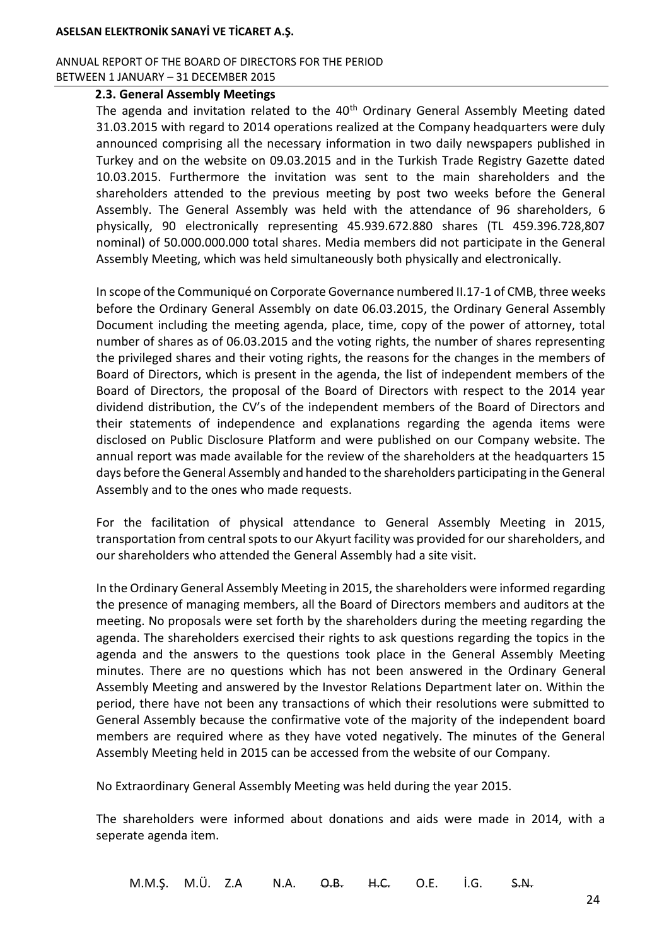#### ANNUAL REPORT OF THE BOARD OF DIRECTORS FOR THE PERIOD BETWEEN 1 JANUARY – 31 DECEMBER 2015

#### **2.3. General Assembly Meetings**

The agenda and invitation related to the  $40<sup>th</sup>$  Ordinary General Assembly Meeting dated 31.03.2015 with regard to 2014 operations realized at the Company headquarters were duly announced comprising all the necessary information in two daily newspapers published in Turkey and on the website on 09.03.2015 and in the Turkish Trade Registry Gazette dated 10.03.2015. Furthermore the invitation was sent to the main shareholders and the shareholders attended to the previous meeting by post two weeks before the General Assembly. The General Assembly was held with the attendance of 96 shareholders, 6 physically, 90 electronically representing 45.939.672.880 shares (TL 459.396.728,807 nominal) of 50.000.000.000 total shares. Media members did not participate in the General Assembly Meeting, which was held simultaneously both physically and electronically.

In scope of the Communiqué on Corporate Governance numbered II.17-1 of CMB, three weeks before the Ordinary General Assembly on date 06.03.2015, the Ordinary General Assembly Document including the meeting agenda, place, time, copy of the power of attorney, total number of shares as of 06.03.2015 and the voting rights, the number of shares representing the privileged shares and their voting rights, the reasons for the changes in the members of Board of Directors, which is present in the agenda, the list of independent members of the Board of Directors, the proposal of the Board of Directors with respect to the 2014 year dividend distribution, the CV's of the independent members of the Board of Directors and their statements of independence and explanations regarding the agenda items were disclosed on Public Disclosure Platform and were published on our Company website. The annual report was made available for the review of the shareholders at the headquarters 15 days before the General Assembly and handed to the shareholders participating in the General Assembly and to the ones who made requests.

For the facilitation of physical attendance to General Assembly Meeting in 2015, transportation from central spots to our Akyurt facility was provided for our shareholders, and our shareholders who attended the General Assembly had a site visit.

In the Ordinary General Assembly Meeting in 2015, the shareholders were informed regarding the presence of managing members, all the Board of Directors members and auditors at the meeting. No proposals were set forth by the shareholders during the meeting regarding the agenda. The shareholders exercised their rights to ask questions regarding the topics in the agenda and the answers to the questions took place in the General Assembly Meeting minutes. There are no questions which has not been answered in the Ordinary General Assembly Meeting and answered by the Investor Relations Department later on. Within the period, there have not been any transactions of which their resolutions were submitted to General Assembly because the confirmative vote of the majority of the independent board members are required where as they have voted negatively. The minutes of the General Assembly Meeting held in 2015 can be accessed from the website of our Company.

No Extraordinary General Assembly Meeting was held during the year 2015.

The shareholders were informed about donations and aids were made in 2014, with a seperate agenda item.

M.M.Ş. M.Ü. Z.A N.A. O.B. H.C. O.E. İ.G. S.N.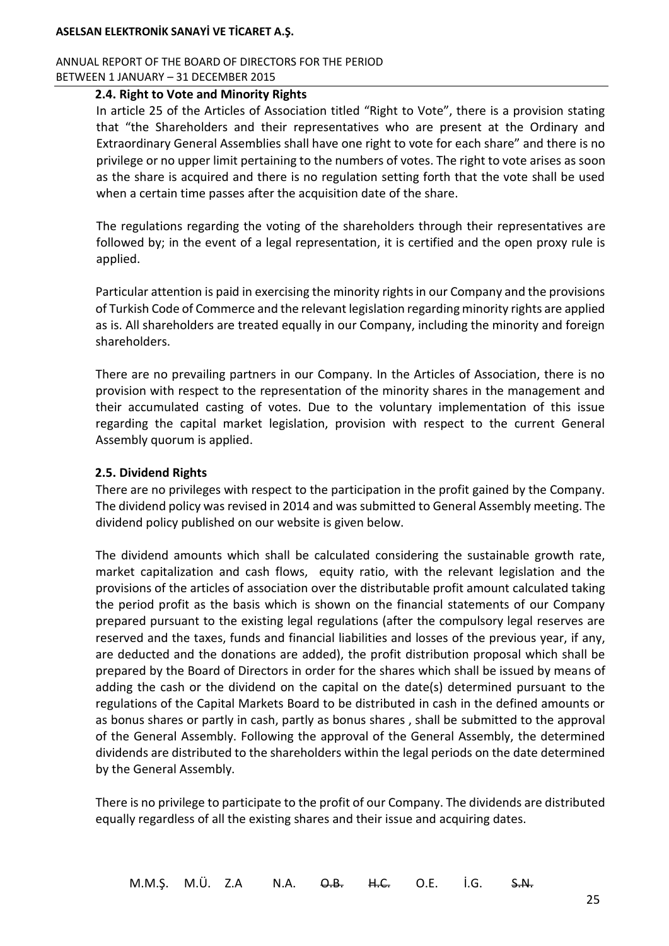ANNUAL REPORT OF THE BOARD OF DIRECTORS FOR THE PERIOD BETWEEN 1 JANUARY – 31 DECEMBER 2015

## **2.4. Right to Vote and Minority Rights**

In article 25 of the Articles of Association titled "Right to Vote", there is a provision stating that "the Shareholders and their representatives who are present at the Ordinary and Extraordinary General Assemblies shall have one right to vote for each share" and there is no privilege or no upper limit pertaining to the numbers of votes. The right to vote arises as soon as the share is acquired and there is no regulation setting forth that the vote shall be used when a certain time passes after the acquisition date of the share.

The regulations regarding the voting of the shareholders through their representatives are followed by; in the event of a legal representation, it is certified and the open proxy rule is applied.

Particular attention is paid in exercising the minority rights in our Company and the provisions of Turkish Code of Commerce and the relevant legislation regarding minority rights are applied as is. All shareholders are treated equally in our Company, including the minority and foreign shareholders.

There are no prevailing partners in our Company. In the Articles of Association, there is no provision with respect to the representation of the minority shares in the management and their accumulated casting of votes. Due to the voluntary implementation of this issue regarding the capital market legislation, provision with respect to the current General Assembly quorum is applied.

### **2.5. Dividend Rights**

There are no privileges with respect to the participation in the profit gained by the Company. The dividend policy was revised in 2014 and was submitted to General Assembly meeting. The dividend policy published on our website is given below.

The dividend amounts which shall be calculated considering the sustainable growth rate, market capitalization and cash flows, equity ratio, with the relevant legislation and the provisions of the articles of association over the distributable profit amount calculated taking the period profit as the basis which is shown on the financial statements of our Company prepared pursuant to the existing legal regulations (after the compulsory legal reserves are reserved and the taxes, funds and financial liabilities and losses of the previous year, if any, are deducted and the donations are added), the profit distribution proposal which shall be prepared by the Board of Directors in order for the shares which shall be issued by means of adding the cash or the dividend on the capital on the date(s) determined pursuant to the regulations of the Capital Markets Board to be distributed in cash in the defined amounts or as bonus shares or partly in cash, partly as bonus shares , shall be submitted to the approval of the General Assembly. Following the approval of the General Assembly, the determined dividends are distributed to the shareholders within the legal periods on the date determined by the General Assembly.

There is no privilege to participate to the profit of our Company. The dividends are distributed equally regardless of all the existing shares and their issue and acquiring dates.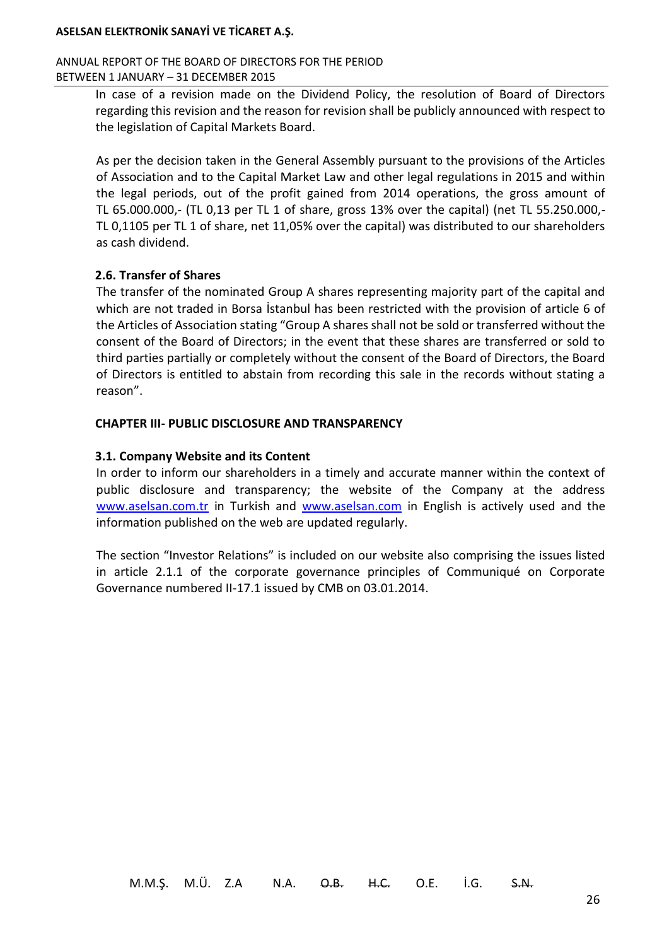#### ANNUAL REPORT OF THE BOARD OF DIRECTORS FOR THE PERIOD BETWEEN 1 JANUARY – 31 DECEMBER 2015

In case of a revision made on the Dividend Policy, the resolution of Board of Directors regarding this revision and the reason for revision shall be publicly announced with respect to the legislation of Capital Markets Board.

As per the decision taken in the General Assembly pursuant to the provisions of the Articles of Association and to the Capital Market Law and other legal regulations in 2015 and within the legal periods, out of the profit gained from 2014 operations, the gross amount of TL 65.000.000,- (TL 0,13 per TL 1 of share, gross 13% over the capital) (net TL 55.250.000,- TL 0,1105 per TL 1 of share, net 11,05% over the capital) was distributed to our shareholders as cash dividend.

## **2.6. Transfer of Shares**

The transfer of the nominated Group A shares representing majority part of the capital and which are not traded in Borsa İstanbul has been restricted with the provision of article 6 of the Articles of Association stating "Group A shares shall not be sold or transferred without the consent of the Board of Directors; in the event that these shares are transferred or sold to third parties partially or completely without the consent of the Board of Directors, the Board of Directors is entitled to abstain from recording this sale in the records without stating a reason".

## **CHAPTER III- PUBLIC DISCLOSURE AND TRANSPARENCY**

## **3.1. Company Website and its Content**

In order to inform our shareholders in a timely and accurate manner within the context of public disclosure and transparency; the website of the Company at the address [www.aselsan.com.tr](http://www.aselsan.com.tr/) in Turkish and [www.aselsan.com](http://www.aselsan.com/) in English is actively used and the information published on the web are updated regularly.

The section "Investor Relations" is included on our website also comprising the issues listed in article 2.1.1 of the corporate governance principles of Communiqué on Corporate Governance numbered II-17.1 issued by CMB on 03.01.2014.

M.M.Ş. M.Ü. Z.A N.A. <del>O.B. H.C.</del> O.E. İ.G. <del>S.N.</del>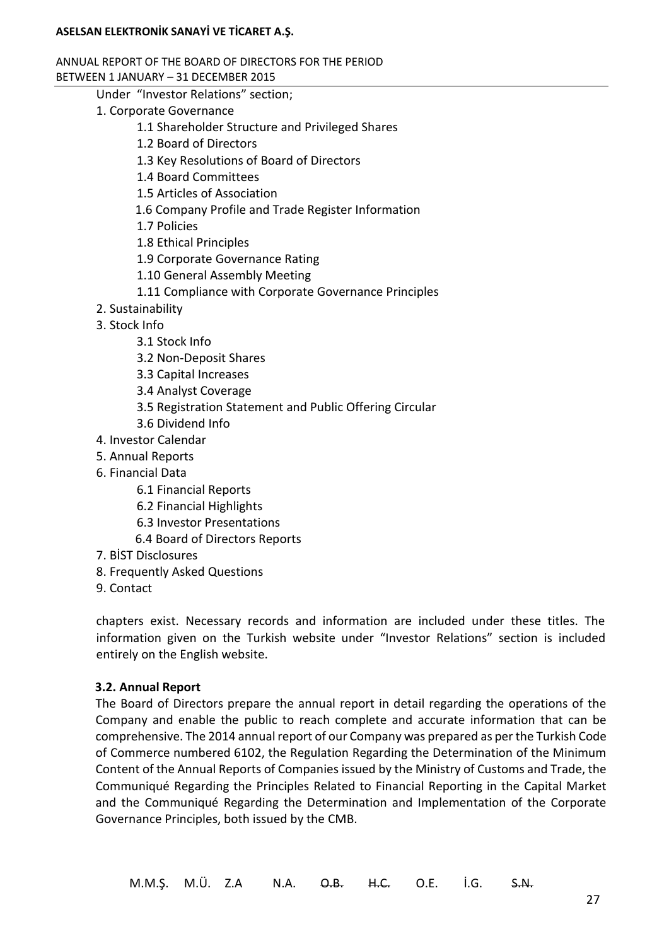#### ANNUAL REPORT OF THE BOARD OF DIRECTORS FOR THE PERIOD BETWEEN 1 JANUARY – 31 DECEMBER 2015

- Under "Investor Relations" section;
- 1. Corporate Governance
	- 1.1 Shareholder Structure and Privileged Shares
	- 1.2 Board of Directors
	- 1.3 Key Resolutions of Board of Directors
	- 1.4 Board Committees
	- 1.5 Articles of Association
	- 1.6 Company Profile and Trade Register Information
	- 1.7 Policies
	- 1.8 Ethical Principles
	- 1.9 Corporate Governance Rating
	- 1.10 General Assembly Meeting
	- 1.11 Compliance with Corporate Governance Principles
- 2. Sustainability
- 3. Stock Info
	- 3.1 Stock Info
	- 3.2 Non-Deposit Shares
	- 3.3 Capital Increases
	- 3.4 Analyst Coverage
	- 3.5 Registration Statement and Public Offering Circular
	- 3.6 Dividend Info
- 4. Investor Calendar
- 5. Annual Reports
- 6. Financial Data
	- 6.1 Financial Reports
	- 6.2 Financial Highlights
	- 6.3 Investor Presentations
	- 6.4 Board of Directors Reports
- 7. BİST Disclosures
- 8. Frequently Asked Questions
- 9. Contact

chapters exist. Necessary records and information are included under these titles. The information given on the Turkish website under "Investor Relations" section is included entirely on the English website.

## **3.2. Annual Report**

The Board of Directors prepare the annual report in detail regarding the operations of the Company and enable the public to reach complete and accurate information that can be comprehensive. The 2014 annual report of our Company was prepared as per the Turkish Code of Commerce numbered 6102, the Regulation Regarding the Determination of the Minimum Content of the Annual Reports of Companies issued by the Ministry of Customs and Trade, the Communiqué Regarding the Principles Related to Financial Reporting in the Capital Market and the Communiqué Regarding the Determination and Implementation of the Corporate Governance Principles, both issued by the CMB.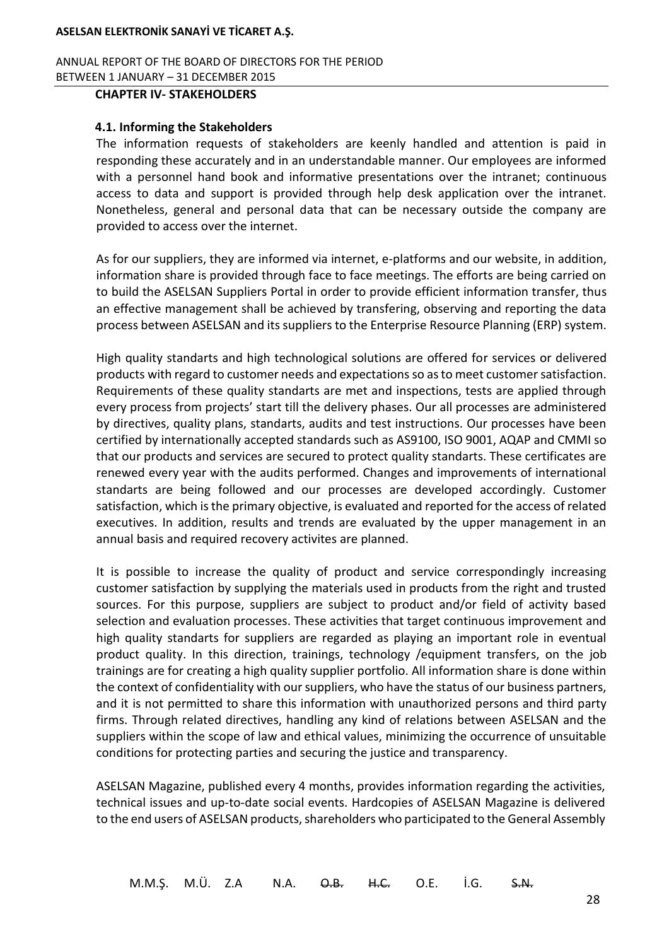ANNUAL REPORT OF THE BOARD OF DIRECTORS FOR THE PERIOD BETWEEN 1 JANUARY – 31 DECEMBER 2015

## **CHAPTER IV- STAKEHOLDERS**

## **4.1. Informing the Stakeholders**

The information requests of stakeholders are keenly handled and attention is paid in responding these accurately and in an understandable manner. Our employees are informed with a personnel hand book and informative presentations over the intranet; continuous access to data and support is provided through help desk application over the intranet. Nonetheless, general and personal data that can be necessary outside the company are provided to access over the internet.

As for our suppliers, they are informed via internet, e-platforms and our website, in addition, information share is provided through face to face meetings. The efforts are being carried on to build the ASELSAN Suppliers Portal in order to provide efficient information transfer, thus an effective management shall be achieved by transfering, observing and reporting the data process between ASELSAN and its suppliers to the Enterprise Resource Planning (ERP) system.

High quality standarts and high technological solutions are offered for services or delivered products with regard to customer needs and expectations so as to meet customer satisfaction. Requirements of these quality standarts are met and inspections, tests are applied through every process from projects' start till the delivery phases. Our all processes are administered by directives, quality plans, standarts, audits and test instructions. Our processes have been certified by internationally accepted standards such as AS9100, ISO 9001, AQAP and CMMI so that our products and services are secured to protect quality standarts. These certificates are renewed every year with the audits performed. Changes and improvements of international standarts are being followed and our processes are developed accordingly. Customer satisfaction, which is the primary objective, is evaluated and reported for the access of related executives. In addition, results and trends are evaluated by the upper management in an annual basis and required recovery activites are planned.

It is possible to increase the quality of product and service correspondingly increasing customer satisfaction by supplying the materials used in products from the right and trusted sources. For this purpose, suppliers are subject to product and/or field of activity based selection and evaluation processes. These activities that target continuous improvement and high quality standarts for suppliers are regarded as playing an important role in eventual product quality. In this direction, trainings, technology /equipment transfers, on the job trainings are for creating a high quality supplier portfolio. All information share is done within the context of confidentiality with our suppliers, who have the status of our business partners, and it is not permitted to share this information with unauthorized persons and third party firms. Through related directives, handling any kind of relations between ASELSAN and the suppliers within the scope of law and ethical values, minimizing the occurrence of unsuitable conditions for protecting parties and securing the justice and transparency.

ASELSAN Magazine, published every 4 months, provides information regarding the activities, technical issues and up-to-date social events. Hardcopies of ASELSAN Magazine is delivered to the end users of ASELSAN products, shareholders who participated to the General Assembly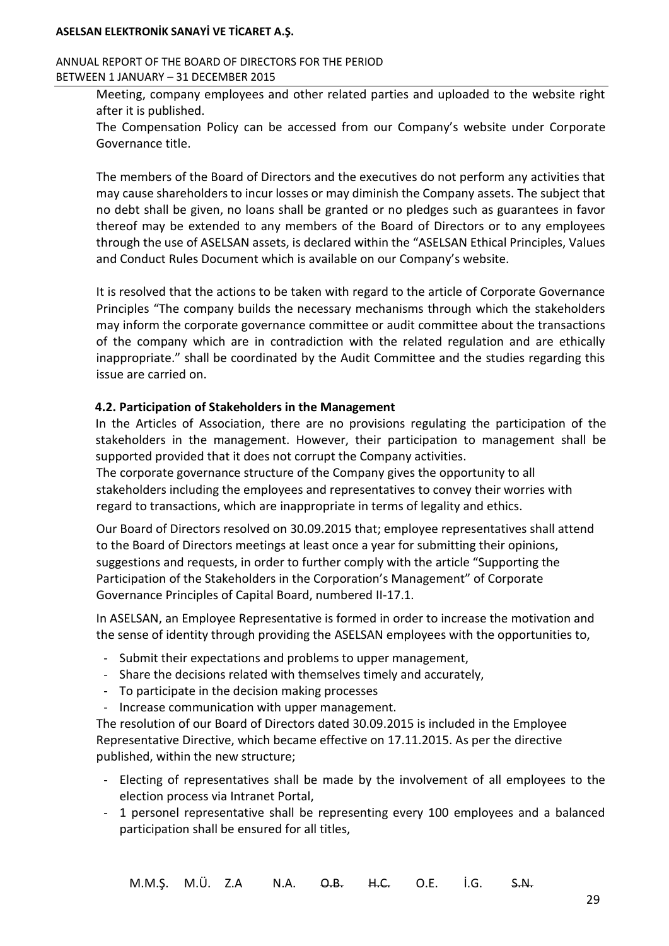### ANNUAL REPORT OF THE BOARD OF DIRECTORS FOR THE PERIOD BETWEEN 1 JANUARY – 31 DECEMBER 2015

Meeting, company employees and other related parties and uploaded to the website right after it is published.

The Compensation Policy can be accessed from our Company's website under Corporate Governance title.

The members of the Board of Directors and the executives do not perform any activities that may cause shareholders to incur losses or may diminish the Company assets. The subject that no debt shall be given, no loans shall be granted or no pledges such as guarantees in favor thereof may be extended to any members of the Board of Directors or to any employees through the use of ASELSAN assets, is declared within the "ASELSAN Ethical Principles, Values and Conduct Rules Document which is available on our Company's website.

It is resolved that the actions to be taken with regard to the article of Corporate Governance Principles "The company builds the necessary mechanisms through which the stakeholders may inform the corporate governance committee or audit committee about the transactions of the company which are in contradiction with the related regulation and are ethically inappropriate." shall be coordinated by the Audit Committee and the studies regarding this issue are carried on.

## **4.2. Participation of Stakeholders in the Management**

In the Articles of Association, there are no provisions regulating the participation of the stakeholders in the management. However, their participation to management shall be supported provided that it does not corrupt the Company activities.

The corporate governance structure of the Company gives the opportunity to all stakeholders including the employees and representatives to convey their worries with regard to transactions, which are inappropriate in terms of legality and ethics.

Our Board of Directors resolved on 30.09.2015 that; employee representatives shall attend to the Board of Directors meetings at least once a year for submitting their opinions, suggestions and requests, in order to further comply with the article "Supporting the Participation of the Stakeholders in the Corporation's Management" of Corporate Governance Principles of Capital Board, numbered II-17.1.

In ASELSAN, an Employee Representative is formed in order to increase the motivation and the sense of identity through providing the ASELSAN employees with the opportunities to,

- Submit their expectations and problems to upper management,
- Share the decisions related with themselves timely and accurately,
- To participate in the decision making processes
- Increase communication with upper management.

The resolution of our Board of Directors dated 30.09.2015 is included in the Employee Representative Directive, which became effective on 17.11.2015. As per the directive published, within the new structure;

- Electing of representatives shall be made by the involvement of all employees to the election process via Intranet Portal,
- 1 personel representative shall be representing every 100 employees and a balanced participation shall be ensured for all titles,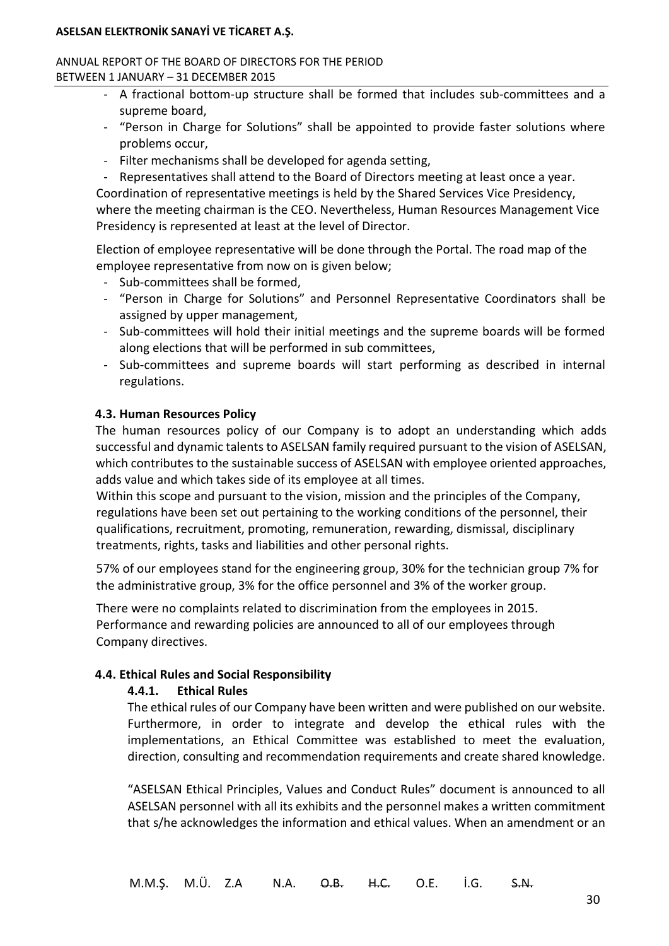### ANNUAL REPORT OF THE BOARD OF DIRECTORS FOR THE PERIOD BETWEEN 1 JANUARY – 31 DECEMBER 2015

- A fractional bottom-up structure shall be formed that includes sub-committees and a supreme board,
- "Person in Charge for Solutions" shall be appointed to provide faster solutions where problems occur,
- Filter mechanisms shall be developed for agenda setting,
- Representatives shall attend to the Board of Directors meeting at least once a year.

Coordination of representative meetings is held by the Shared Services Vice Presidency, where the meeting chairman is the CEO. Nevertheless, Human Resources Management Vice Presidency is represented at least at the level of Director.

Election of employee representative will be done through the Portal. The road map of the employee representative from now on is given below;

- Sub-committees shall be formed,
- "Person in Charge for Solutions" and Personnel Representative Coordinators shall be assigned by upper management,
- Sub-committees will hold their initial meetings and the supreme boards will be formed along elections that will be performed in sub committees,
- Sub-committees and supreme boards will start performing as described in internal regulations.

## **4.3. Human Resources Policy**

The human resources policy of our Company is to adopt an understanding which adds successful and dynamic talents to ASELSAN family required pursuant to the vision of ASELSAN, which contributes to the sustainable success of ASELSAN with employee oriented approaches, adds value and which takes side of its employee at all times.

Within this scope and pursuant to the vision, mission and the principles of the Company, regulations have been set out pertaining to the working conditions of the personnel, their qualifications, recruitment, promoting, remuneration, rewarding, dismissal, disciplinary treatments, rights, tasks and liabilities and other personal rights.

57% of our employees stand for the engineering group, 30% for the technician group 7% for the administrative group, 3% for the office personnel and 3% of the worker group.

There were no complaints related to discrimination from the employees in 2015. Performance and rewarding policies are announced to all of our employees through Company directives.

## **4.4. Ethical Rules and Social Responsibility**

## **4.4.1. Ethical Rules**

The ethical rules of our Company have been written and were published on our website. Furthermore, in order to integrate and develop the ethical rules with the implementations, an Ethical Committee was established to meet the evaluation, direction, consulting and recommendation requirements and create shared knowledge.

"ASELSAN Ethical Principles, Values and Conduct Rules" document is announced to all ASELSAN personnel with all its exhibits and the personnel makes a written commitment that s/he acknowledges the information and ethical values. When an amendment or an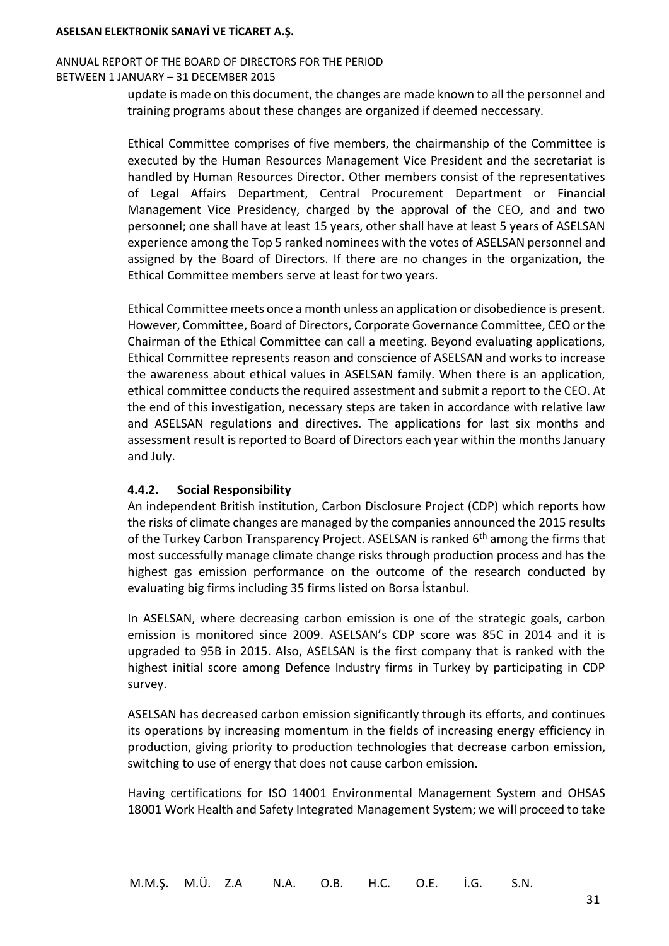### ANNUAL REPORT OF THE BOARD OF DIRECTORS FOR THE PERIOD BETWEEN 1 JANUARY – 31 DECEMBER 2015

update is made on this document, the changes are made known to all the personnel and training programs about these changes are organized if deemed neccessary.

Ethical Committee comprises of five members, the chairmanship of the Committee is executed by the Human Resources Management Vice President and the secretariat is handled by Human Resources Director. Other members consist of the representatives of Legal Affairs Department, Central Procurement Department or Financial Management Vice Presidency, charged by the approval of the CEO, and and two personnel; one shall have at least 15 years, other shall have at least 5 years of ASELSAN experience among the Top 5 ranked nominees with the votes of ASELSAN personnel and assigned by the Board of Directors. If there are no changes in the organization, the Ethical Committee members serve at least for two years.

Ethical Committee meets once a month unless an application or disobedience is present. However, Committee, Board of Directors, Corporate Governance Committee, CEO or the Chairman of the Ethical Committee can call a meeting. Beyond evaluating applications, Ethical Committee represents reason and conscience of ASELSAN and works to increase the awareness about ethical values in ASELSAN family. When there is an application, ethical committee conducts the required assestment and submit a report to the CEO. At the end of this investigation, necessary steps are taken in accordance with relative law and ASELSAN regulations and directives. The applications for last six months and assessment result is reported to Board of Directors each year within the months January and July.

## **4.4.2. Social Responsibility**

An independent British institution, Carbon Disclosure Project (CDP) which reports how the risks of climate changes are managed by the companies announced the 2015 results of the Turkey Carbon Transparency Project. ASELSAN is ranked 6<sup>th</sup> among the firms that most successfully manage climate change risks through production process and has the highest gas emission performance on the outcome of the research conducted by evaluating big firms including 35 firms listed on Borsa İstanbul.

In ASELSAN, where decreasing carbon emission is one of the strategic goals, carbon emission is monitored since 2009. ASELSAN's CDP score was 85C in 2014 and it is upgraded to 95B in 2015. Also, ASELSAN is the first company that is ranked with the highest initial score among Defence Industry firms in Turkey by participating in CDP survey.

ASELSAN has decreased carbon emission significantly through its efforts, and continues its operations by increasing momentum in the fields of increasing energy efficiency in production, giving priority to production technologies that decrease carbon emission, switching to use of energy that does not cause carbon emission.

Having certifications for ISO 14001 Environmental Management System and OHSAS 18001 Work Health and Safety Integrated Management System; we will proceed to take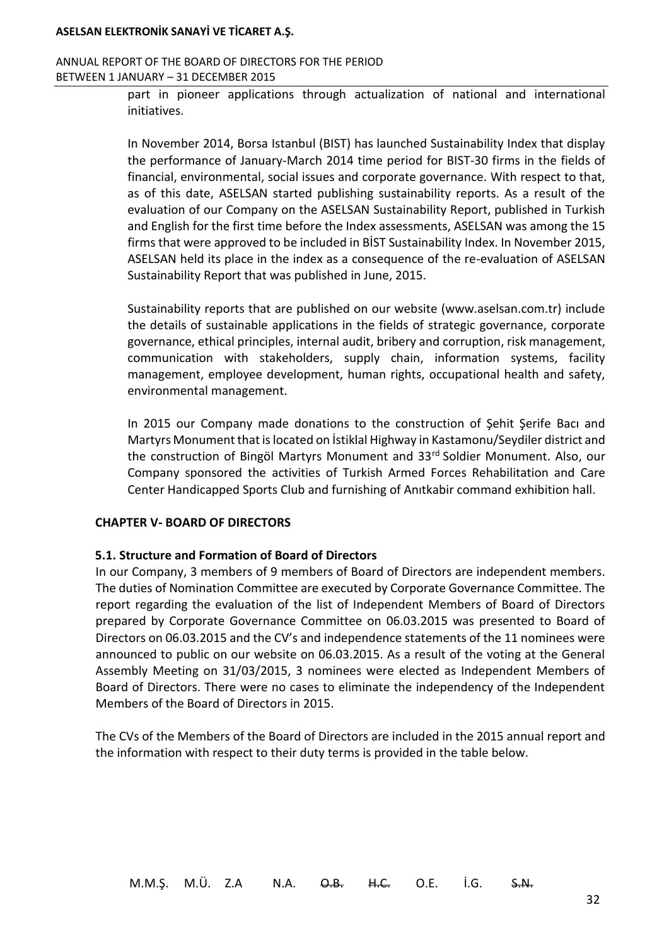#### ANNUAL REPORT OF THE BOARD OF DIRECTORS FOR THE PERIOD BETWEEN 1 JANUARY – 31 DECEMBER 2015

part in pioneer applications through actualization of national and international initiatives.

In November 2014, Borsa Istanbul (BIST) has launched Sustainability Index that display the performance of January-March 2014 time period for BIST-30 firms in the fields of financial, environmental, social issues and corporate governance. With respect to that, as of this date, ASELSAN started publishing sustainability reports. As a result of the evaluation of our Company on the ASELSAN Sustainability Report, published in Turkish and English for the first time before the Index assessments, ASELSAN was among the 15 firms that were approved to be included in BİST Sustainability Index. In November 2015, ASELSAN held its place in the index as a consequence of the re-evaluation of ASELSAN Sustainability Report that was published in June, 2015.

Sustainability reports that are published on our website (www.aselsan.com.tr) include the details of sustainable applications in the fields of strategic governance, corporate governance, ethical principles, internal audit, bribery and corruption, risk management, communication with stakeholders, supply chain, information systems, facility management, employee development, human rights, occupational health and safety, environmental management.

In 2015 our Company made donations to the construction of Şehit Şerife Bacı and Martyrs Monument that is located on İstiklal Highway in Kastamonu/Seydiler district and the construction of Bingöl Martyrs Monument and 33<sup>rd</sup> Soldier Monument. Also, our Company sponsored the activities of Turkish Armed Forces Rehabilitation and Care Center Handicapped Sports Club and furnishing of Anıtkabir command exhibition hall.

## **CHAPTER V- BOARD OF DIRECTORS**

#### **5.1. Structure and Formation of Board of Directors**

In our Company, 3 members of 9 members of Board of Directors are independent members. The duties of Nomination Committee are executed by Corporate Governance Committee. The report regarding the evaluation of the list of Independent Members of Board of Directors prepared by Corporate Governance Committee on 06.03.2015 was presented to Board of Directors on 06.03.2015 and the CV's and independence statements of the 11 nominees were announced to public on our website on 06.03.2015. As a result of the voting at the General Assembly Meeting on 31/03/2015, 3 nominees were elected as Independent Members of Board of Directors. There were no cases to eliminate the independency of the Independent Members of the Board of Directors in 2015.

The CVs of the Members of the Board of Directors are included in the 2015 annual report and the information with respect to their duty terms is provided in the table below.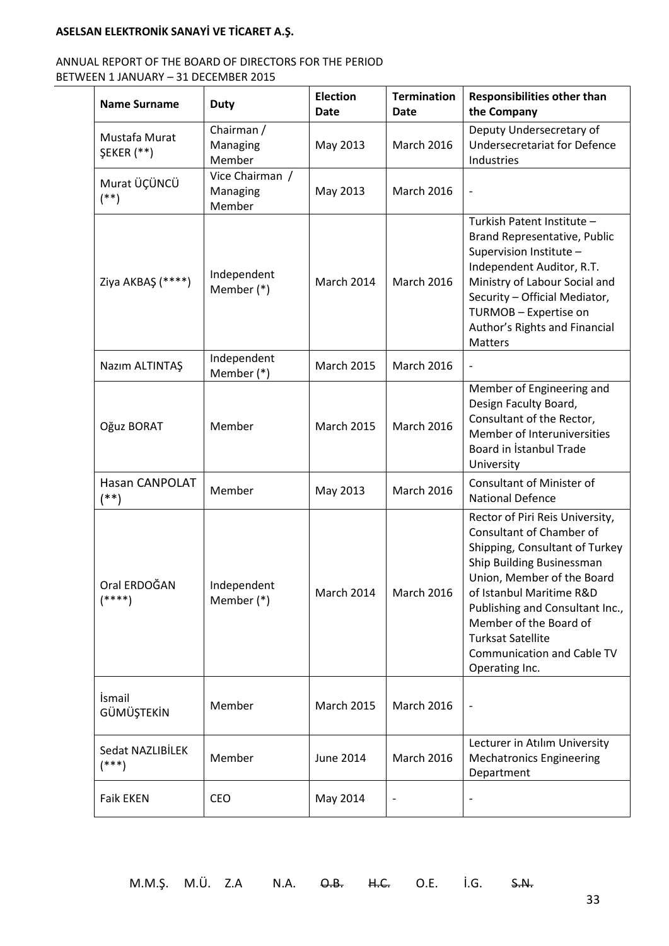## ANNUAL REPORT OF THE BOARD OF DIRECTORS FOR THE PERIOD BETWEEN 1 JANUARY – 31 DECEMBER 2015

| <b>Name Surname</b>                | <b>Duty</b>                           | <b>Election</b><br><b>Date</b> | <b>Termination</b><br><b>Date</b> | <b>Responsibilities other than</b><br>the Company                                                                                                                                                                                                                                                                                    |
|------------------------------------|---------------------------------------|--------------------------------|-----------------------------------|--------------------------------------------------------------------------------------------------------------------------------------------------------------------------------------------------------------------------------------------------------------------------------------------------------------------------------------|
| Mustafa Murat<br><b>ŞEKER</b> (**) | Chairman /<br>Managing<br>Member      | May 2013                       | <b>March 2016</b>                 | Deputy Undersecretary of<br><b>Undersecretariat for Defence</b><br>Industries                                                                                                                                                                                                                                                        |
| Murat ÜÇÜNCÜ<br>$(**)$             | Vice Chairman /<br>Managing<br>Member | May 2013                       | <b>March 2016</b>                 | $\qquad \qquad \blacksquare$                                                                                                                                                                                                                                                                                                         |
| Ziya AKBAŞ (****)                  | Independent<br>Member (*)             | March 2014                     | <b>March 2016</b>                 | Turkish Patent Institute -<br>Brand Representative, Public<br>Supervision Institute -<br>Independent Auditor, R.T.<br>Ministry of Labour Social and<br>Security - Official Mediator,<br>TURMOB - Expertise on<br>Author's Rights and Financial<br><b>Matters</b>                                                                     |
| Nazım ALTINTAŞ                     | Independent<br>Member (*)             | <b>March 2015</b>              | <b>March 2016</b>                 |                                                                                                                                                                                                                                                                                                                                      |
| Oğuz BORAT                         | Member                                | <b>March 2015</b>              | <b>March 2016</b>                 | Member of Engineering and<br>Design Faculty Board,<br>Consultant of the Rector,<br>Member of Interuniversities<br>Board in Istanbul Trade<br>University                                                                                                                                                                              |
| Hasan CANPOLAT<br>(**)             | Member                                | May 2013                       | March 2016                        | Consultant of Minister of<br><b>National Defence</b>                                                                                                                                                                                                                                                                                 |
| Oral ERDOĞAN<br>$(****)$           | Independent<br>Member (*)             | March 2014                     | <b>March 2016</b>                 | Rector of Piri Reis University,<br>Consultant of Chamber of<br>Shipping, Consultant of Turkey<br>Ship Building Businessman<br>Union, Member of the Board<br>of Istanbul Maritime R&D<br>Publishing and Consultant Inc.,<br>Member of the Board of<br><b>Turksat Satellite</b><br><b>Communication and Cable TV</b><br>Operating Inc. |
| İsmail<br>GÜMÜŞTEKİN               | Member                                | <b>March 2015</b>              | <b>March 2016</b>                 | $\overline{\phantom{a}}$                                                                                                                                                                                                                                                                                                             |
| Sedat NAZLIBİLEK<br>$(***)$        | Member                                | June 2014                      | March 2016                        | Lecturer in Atılım University<br><b>Mechatronics Engineering</b><br>Department                                                                                                                                                                                                                                                       |
| <b>Faik EKEN</b>                   | <b>CEO</b>                            | May 2014                       |                                   |                                                                                                                                                                                                                                                                                                                                      |

M.M.Ş. M.Ü. Z.A N.A. O.B. H.C. O.E. İ.G. S.N.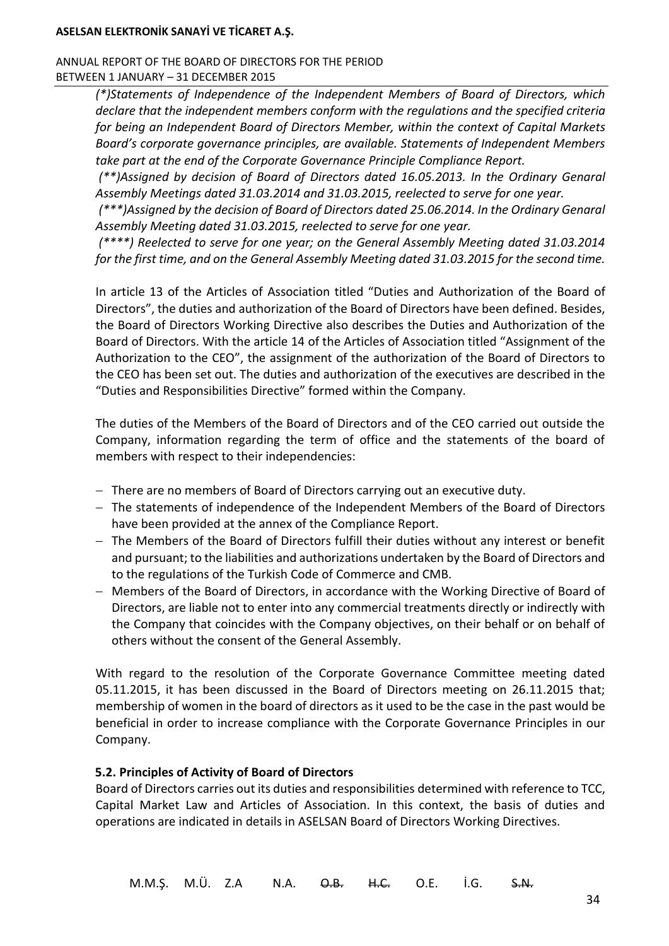#### ANNUAL REPORT OF THE BOARD OF DIRECTORS FOR THE PERIOD BETWEEN 1 JANUARY – 31 DECEMBER 2015

*(\*)Statements of Independence of the Independent Members of Board of Directors, which declare that the independent members conform with the regulations and the specified criteria for being an Independent Board of Directors Member, within the context of Capital Markets Board's corporate governance principles, are available. Statements of Independent Members take part at the end of the Corporate Governance Principle Compliance Report.*

*(\*\*)Assigned by decision of Board of Directors dated 16.05.2013. In the Ordinary Genaral Assembly Meetings dated 31.03.2014 and 31.03.2015, reelected to serve for one year.*

*(\*\*\*)Assigned by the decision of Board of Directors dated 25.06.2014. In the Ordinary Genaral Assembly Meeting dated 31.03.2015, reelected to serve for one year.*

*(\*\*\*\*) Reelected to serve for one year; on the General Assembly Meeting dated 31.03.2014 for the first time, and on the General Assembly Meeting dated 31.03.2015 for the second time.* 

In article 13 of the Articles of Association titled "Duties and Authorization of the Board of Directors", the duties and authorization of the Board of Directors have been defined. Besides, the Board of Directors Working Directive also describes the Duties and Authorization of the Board of Directors. With the article 14 of the Articles of Association titled "Assignment of the Authorization to the CEO", the assignment of the authorization of the Board of Directors to the CEO has been set out. The duties and authorization of the executives are described in the "Duties and Responsibilities Directive" formed within the Company.

The duties of the Members of the Board of Directors and of the CEO carried out outside the Company, information regarding the term of office and the statements of the board of members with respect to their independencies:

- There are no members of Board of Directors carrying out an executive duty.
- The statements of independence of the Independent Members of the Board of Directors have been provided at the annex of the Compliance Report.
- The Members of the Board of Directors fulfill their duties without any interest or benefit and pursuant; to the liabilities and authorizations undertaken by the Board of Directors and to the regulations of the Turkish Code of Commerce and CMB.
- Members of the Board of Directors, in accordance with the Working Directive of Board of Directors, are liable not to enter into any commercial treatments directly or indirectly with the Company that coincides with the Company objectives, on their behalf or on behalf of others without the consent of the General Assembly.

With regard to the resolution of the Corporate Governance Committee meeting dated 05.11.2015, it has been discussed in the Board of Directors meeting on 26.11.2015 that; membership of women in the board of directors as it used to be the case in the past would be beneficial in order to increase compliance with the Corporate Governance Principles in our Company.

## **5.2. Principles of Activity of Board of Directors**

Board of Directors carries out its duties and responsibilities determined with reference to TCC, Capital Market Law and Articles of Association. In this context, the basis of duties and operations are indicated in details in ASELSAN Board of Directors Working Directives.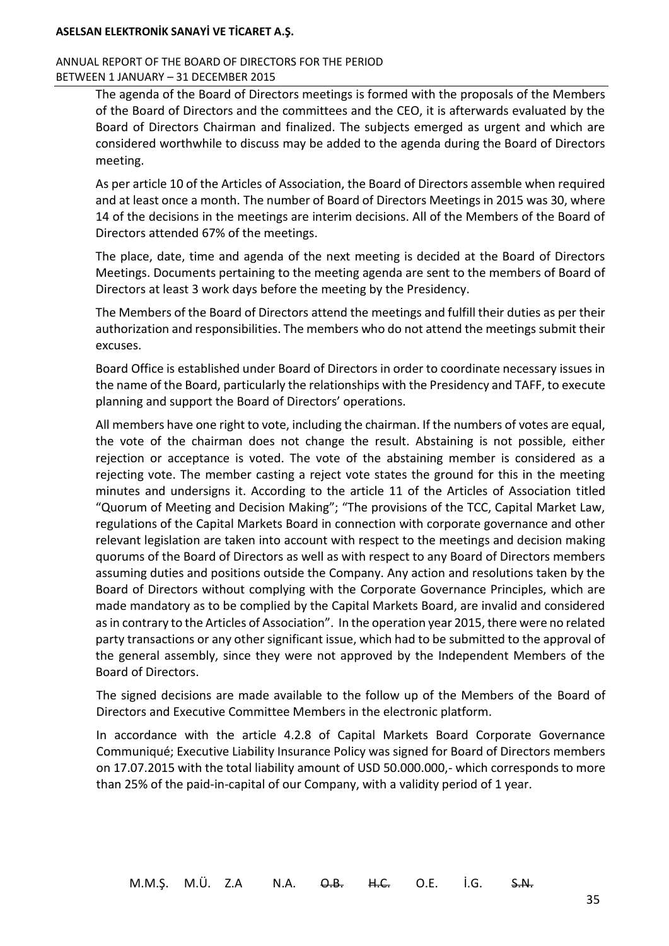### ANNUAL REPORT OF THE BOARD OF DIRECTORS FOR THE PERIOD BETWEEN 1 JANUARY – 31 DECEMBER 2015

The agenda of the Board of Directors meetings is formed with the proposals of the Members of the Board of Directors and the committees and the CEO, it is afterwards evaluated by the Board of Directors Chairman and finalized. The subjects emerged as urgent and which are considered worthwhile to discuss may be added to the agenda during the Board of Directors meeting.

As per article 10 of the Articles of Association, the Board of Directors assemble when required and at least once a month. The number of Board of Directors Meetings in 2015 was 30, where 14 of the decisions in the meetings are interim decisions. All of the Members of the Board of Directors attended 67% of the meetings.

The place, date, time and agenda of the next meeting is decided at the Board of Directors Meetings. Documents pertaining to the meeting agenda are sent to the members of Board of Directors at least 3 work days before the meeting by the Presidency.

The Members of the Board of Directors attend the meetings and fulfill their duties as per their authorization and responsibilities. The members who do not attend the meetings submit their excuses.

Board Office is established under Board of Directors in order to coordinate necessary issues in the name of the Board, particularly the relationships with the Presidency and TAFF, to execute planning and support the Board of Directors' operations.

All members have one right to vote, including the chairman. If the numbers of votes are equal, the vote of the chairman does not change the result. Abstaining is not possible, either rejection or acceptance is voted. The vote of the abstaining member is considered as a rejecting vote. The member casting a reject vote states the ground for this in the meeting minutes and undersigns it. According to the article 11 of the Articles of Association titled "Quorum of Meeting and Decision Making"; "The provisions of the TCC, Capital Market Law, regulations of the Capital Markets Board in connection with corporate governance and other relevant legislation are taken into account with respect to the meetings and decision making quorums of the Board of Directors as well as with respect to any Board of Directors members assuming duties and positions outside the Company. Any action and resolutions taken by the Board of Directors without complying with the Corporate Governance Principles, which are made mandatory as to be complied by the Capital Markets Board, are invalid and considered as in contrary to the Articles of Association". In the operation year 2015, there were no related party transactions or any other significant issue, which had to be submitted to the approval of the general assembly, since they were not approved by the Independent Members of the Board of Directors.

The signed decisions are made available to the follow up of the Members of the Board of Directors and Executive Committee Members in the electronic platform.

In accordance with the article 4.2.8 of Capital Markets Board Corporate Governance Communiqué; Executive Liability Insurance Policy was signed for Board of Directors members on 17.07.2015 with the total liability amount of USD 50.000.000,- which corresponds to more than 25% of the paid-in-capital of our Company, with a validity period of 1 year.

35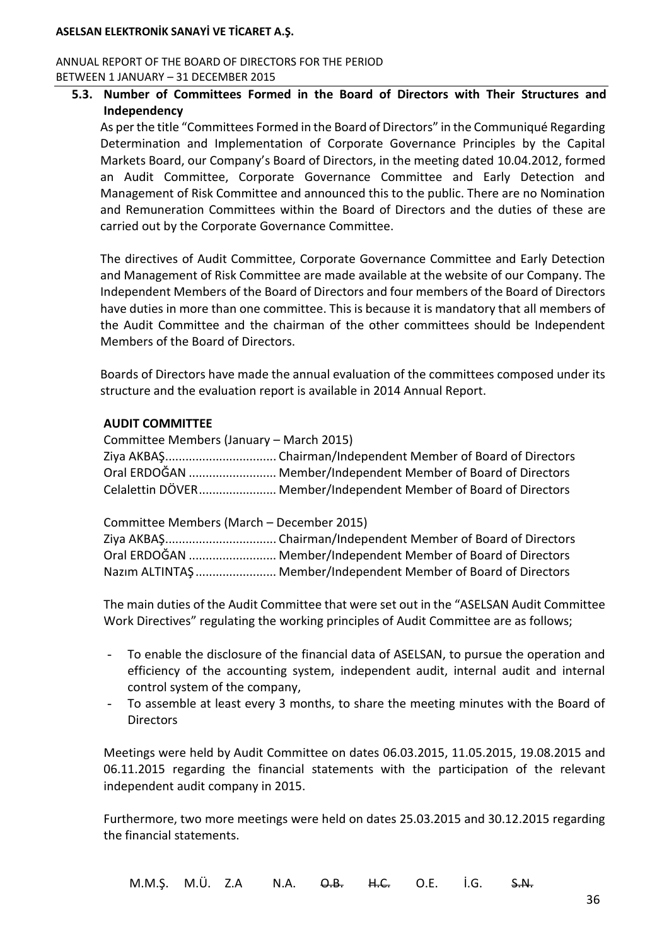#### ANNUAL REPORT OF THE BOARD OF DIRECTORS FOR THE PERIOD BETWEEN 1 JANUARY – 31 DECEMBER 2015

## **5.3. Number of Committees Formed in the Board of Directors with Their Structures and Independency**

As per the title "Committees Formed in the Board of Directors" in the Communiqué Regarding Determination and Implementation of Corporate Governance Principles by the Capital Markets Board, our Company's Board of Directors, in the meeting dated 10.04.2012, formed an Audit Committee, Corporate Governance Committee and Early Detection and Management of Risk Committee and announced this to the public. There are no Nomination and Remuneration Committees within the Board of Directors and the duties of these are carried out by the Corporate Governance Committee.

The directives of Audit Committee, Corporate Governance Committee and Early Detection and Management of Risk Committee are made available at the website of our Company. The Independent Members of the Board of Directors and four members of the Board of Directors have duties in more than one committee. This is because it is mandatory that all members of the Audit Committee and the chairman of the other committees should be Independent Members of the Board of Directors.

Boards of Directors have made the annual evaluation of the committees composed under its structure and the evaluation report is available in 2014 Annual Report.

#### **AUDIT COMMITTEE**

| Committee Members (January – March 2015) |                                                                  |
|------------------------------------------|------------------------------------------------------------------|
|                                          |                                                                  |
|                                          | Oral ERDOĞAN  Member/Independent Member of Board of Directors    |
|                                          | Celalettin DÖVER Member/Independent Member of Board of Directors |

Committee Members (March – December 2015)

| Oral ERDOĞAN  Member/Independent Member of Board of Directors   |
|-----------------------------------------------------------------|
| Nazim ALTINTAŞ  Member/Independent Member of Board of Directors |

The main duties of the Audit Committee that were set out in the "ASELSAN Audit Committee Work Directives" regulating the working principles of Audit Committee are as follows;

- To enable the disclosure of the financial data of ASELSAN, to pursue the operation and efficiency of the accounting system, independent audit, internal audit and internal control system of the company,
- To assemble at least every 3 months, to share the meeting minutes with the Board of **Directors**

Meetings were held by Audit Committee on dates 06.03.2015, 11.05.2015, 19.08.2015 and 06.11.2015 regarding the financial statements with the participation of the relevant independent audit company in 2015.

Furthermore, two more meetings were held on dates 25.03.2015 and 30.12.2015 regarding the financial statements.

M.M.Ş. M.Ü. Z.A N.A. <del>O.B. H.C.</del> O.E. İ.G. <del>S.N.</del>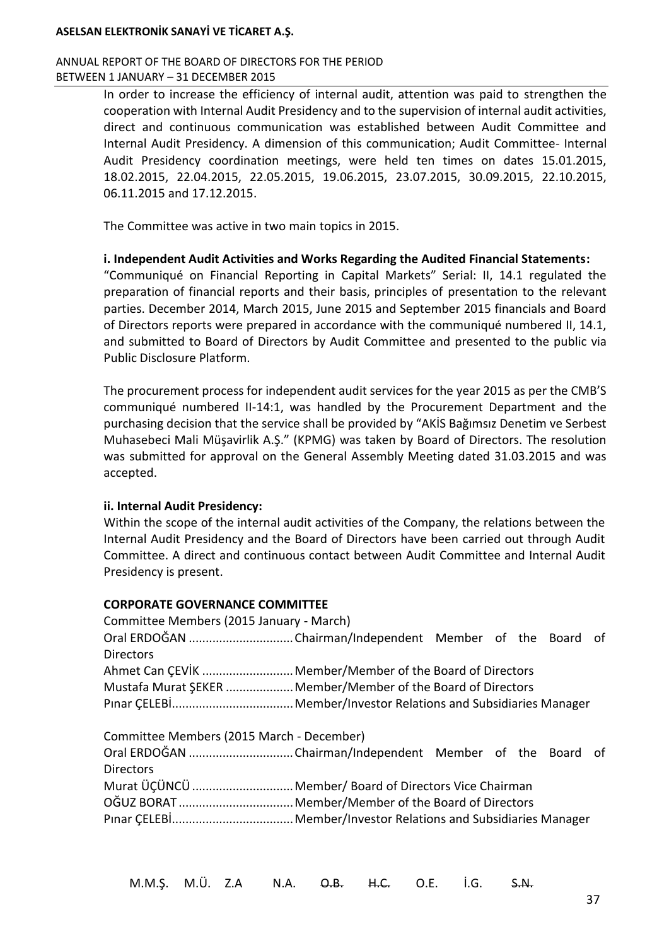#### ANNUAL REPORT OF THE BOARD OF DIRECTORS FOR THE PERIOD BETWEEN 1 JANUARY – 31 DECEMBER 2015

In order to increase the efficiency of internal audit, attention was paid to strengthen the cooperation with Internal Audit Presidency and to the supervision of internal audit activities, direct and continuous communication was established between Audit Committee and Internal Audit Presidency. A dimension of this communication; Audit Committee- Internal Audit Presidency coordination meetings, were held ten times on dates 15.01.2015, 18.02.2015, 22.04.2015, 22.05.2015, 19.06.2015, 23.07.2015, 30.09.2015, 22.10.2015, 06.11.2015 and 17.12.2015.

The Committee was active in two main topics in 2015.

#### **i. Independent Audit Activities and Works Regarding the Audited Financial Statements:**

"Communiqué on Financial Reporting in Capital Markets" Serial: II, 14.1 regulated the preparation of financial reports and their basis, principles of presentation to the relevant parties. December 2014, March 2015, June 2015 and September 2015 financials and Board of Directors reports were prepared in accordance with the communiqué numbered II, 14.1, and submitted to Board of Directors by Audit Committee and presented to the public via Public Disclosure Platform.

The procurement process for independent audit services for the year 2015 as per the CMB'S communiqué numbered II-14:1, was handled by the Procurement Department and the purchasing decision that the service shall be provided by "AKİS Bağımsız Denetim ve Serbest Muhasebeci Mali Müşavirlik A.Ş." (KPMG) was taken by Board of Directors. The resolution was submitted for approval on the General Assembly Meeting dated 31.03.2015 and was accepted.

## **ii. Internal Audit Presidency:**

Within the scope of the internal audit activities of the Company, the relations between the Internal Audit Presidency and the Board of Directors have been carried out through Audit Committee. A direct and continuous contact between Audit Committee and Internal Audit Presidency is present.

#### **CORPORATE GOVERNANCE COMMITTEE**

| Committee Members (2015 January - March)                     |                                                          |  |  |  |  |  |  |
|--------------------------------------------------------------|----------------------------------------------------------|--|--|--|--|--|--|
|                                                              |                                                          |  |  |  |  |  |  |
| <b>Directors</b>                                             |                                                          |  |  |  |  |  |  |
|                                                              | Ahmet Can ÇEVİK  Member/Member of the Board of Directors |  |  |  |  |  |  |
| Mustafa Murat ŞEKER  Member/Member of the Board of Directors |                                                          |  |  |  |  |  |  |
|                                                              |                                                          |  |  |  |  |  |  |
| Committee Members (2015 March - December)                    |                                                          |  |  |  |  |  |  |
| Oral ERDOĞAN Chairman/Independent Member of the Board of     |                                                          |  |  |  |  |  |  |
| <b>Directors</b>                                             |                                                          |  |  |  |  |  |  |
|                                                              | Murat ÜÇÜNCÜ  Member/ Board of Directors Vice Chairman   |  |  |  |  |  |  |
|                                                              |                                                          |  |  |  |  |  |  |
|                                                              |                                                          |  |  |  |  |  |  |

M.M.Ş. M.Ü. Z.A N.A. O.B. H.C. O.E. İ.G. S.N.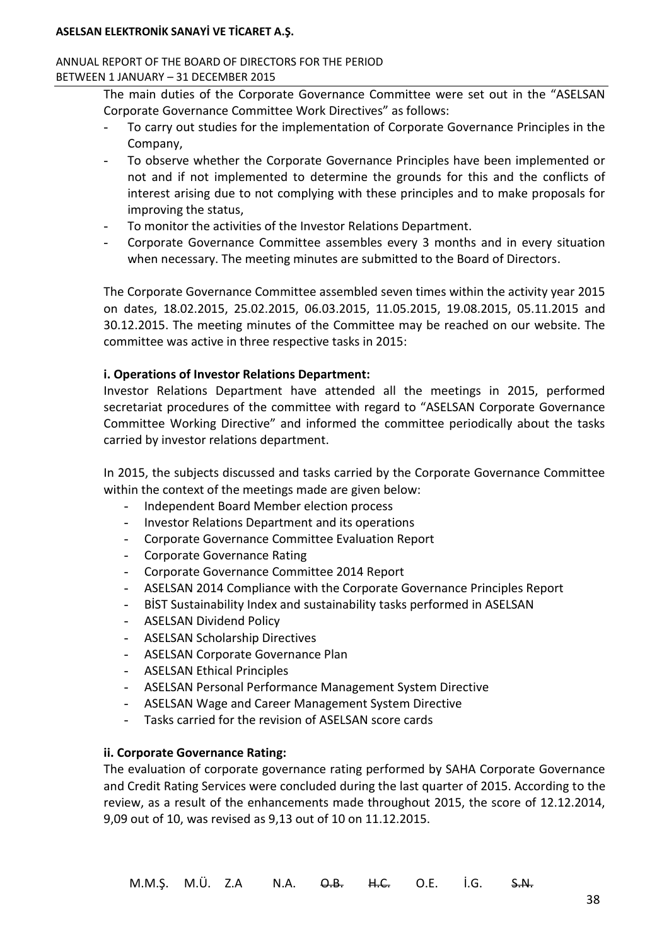#### ANNUAL REPORT OF THE BOARD OF DIRECTORS FOR THE PERIOD BETWEEN 1 JANUARY – 31 DECEMBER 2015

The main duties of the Corporate Governance Committee were set out in the "ASELSAN Corporate Governance Committee Work Directives" as follows:

- To carry out studies for the implementation of Corporate Governance Principles in the Company,
- To observe whether the Corporate Governance Principles have been implemented or not and if not implemented to determine the grounds for this and the conflicts of interest arising due to not complying with these principles and to make proposals for improving the status,
- To monitor the activities of the Investor Relations Department.
- Corporate Governance Committee assembles every 3 months and in every situation when necessary. The meeting minutes are submitted to the Board of Directors.

The Corporate Governance Committee assembled seven times within the activity year 2015 on dates, 18.02.2015, 25.02.2015, 06.03.2015, 11.05.2015, 19.08.2015, 05.11.2015 and 30.12.2015. The meeting minutes of the Committee may be reached on our website. The committee was active in three respective tasks in 2015:

## **i. Operations of Investor Relations Department:**

Investor Relations Department have attended all the meetings in 2015, performed secretariat procedures of the committee with regard to "ASELSAN Corporate Governance Committee Working Directive" and informed the committee periodically about the tasks carried by investor relations department.

In 2015, the subjects discussed and tasks carried by the Corporate Governance Committee within the context of the meetings made are given below:

- Independent Board Member election process
- Investor Relations Department and its operations
- Corporate Governance Committee Evaluation Report
- Corporate Governance Rating
- Corporate Governance Committee 2014 Report
- ASELSAN 2014 Compliance with the Corporate Governance Principles Report
- BİST Sustainability Index and sustainability tasks performed in ASELSAN
- ASELSAN Dividend Policy
- ASELSAN Scholarship Directives
- ASELSAN Corporate Governance Plan
- ASELSAN Ethical Principles
- ASELSAN Personal Performance Management System Directive
- ASELSAN Wage and Career Management System Directive
- Tasks carried for the revision of ASELSAN score cards

## **ii. Corporate Governance Rating:**

The evaluation of corporate governance rating performed by SAHA Corporate Governance and Credit Rating Services were concluded during the last quarter of 2015. According to the review, as a result of the enhancements made throughout 2015, the score of 12.12.2014, 9,09 out of 10, was revised as 9,13 out of 10 on 11.12.2015.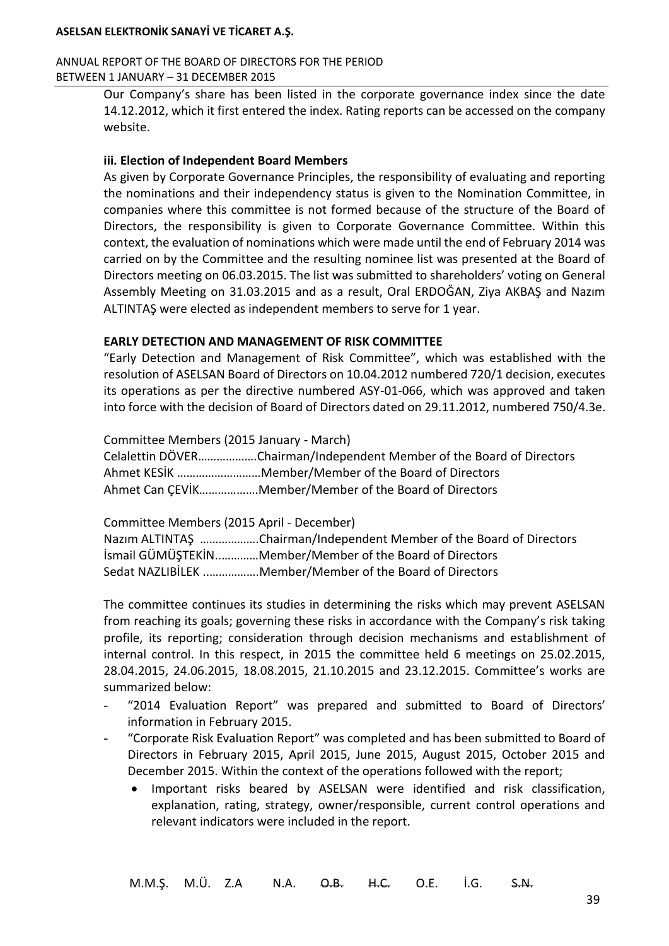### ANNUAL REPORT OF THE BOARD OF DIRECTORS FOR THE PERIOD BETWEEN 1 JANUARY – 31 DECEMBER 2015

Our Company's share has been listed in the corporate governance index since the date 14.12.2012, which it first entered the index. Rating reports can be accessed on the company website.

## **iii. Election of Independent Board Members**

As given by Corporate Governance Principles, the responsibility of evaluating and reporting the nominations and their independency status is given to the Nomination Committee, in companies where this committee is not formed because of the structure of the Board of Directors, the responsibility is given to Corporate Governance Committee. Within this context, the evaluation of nominations which were made until the end of February 2014 was carried on by the Committee and the resulting nominee list was presented at the Board of Directors meeting on 06.03.2015. The list was submitted to shareholders' voting on General Assembly Meeting on 31.03.2015 and as a result, Oral ERDOĞAN, Ziya AKBAŞ and Nazım ALTINTAŞ were elected as independent members to serve for 1 year.

## **EARLY DETECTION AND MANAGEMENT OF RISK COMMITTEE**

"Early Detection and Management of Risk Committee", which was established with the resolution of ASELSAN Board of Directors on 10.04.2012 numbered 720/1 decision, executes its operations as per the directive numbered ASY-01-066, which was approved and taken into force with the decision of Board of Directors dated on 29.11.2012, numbered 750/4.3e.

Committee Members (2015 January - March)

Celalettin DÖVER……………….Chairman/Independent Member of the Board of Directors Ahmet KESİK ………………………Member/Member of the Board of Directors Ahmet Can ÇEVİK……………….Member/Member of the Board of Directors

Committee Members (2015 April - December)

Nazım ALTINTAŞ ……………….Chairman/Independent Member of the Board of Directors İsmail GÜMÜŞTEKİN..…………Member/Member of the Board of Directors Sedat NAZLIBİLEK ..…………….Member/Member of the Board of Directors

The committee continues its studies in determining the risks which may prevent ASELSAN from reaching its goals; governing these risks in accordance with the Company's risk taking profile, its reporting; consideration through decision mechanisms and establishment of internal control. In this respect, in 2015 the committee held 6 meetings on 25.02.2015, 28.04.2015, 24.06.2015, 18.08.2015, 21.10.2015 and 23.12.2015. Committee's works are summarized below:

- "2014 Evaluation Report" was prepared and submitted to Board of Directors' information in February 2015.
- "Corporate Risk Evaluation Report" was completed and has been submitted to Board of Directors in February 2015, April 2015, June 2015, August 2015, October 2015 and December 2015. Within the context of the operations followed with the report;
	- Important risks beared by ASELSAN were identified and risk classification, explanation, rating, strategy, owner/responsible, current control operations and relevant indicators were included in the report.

39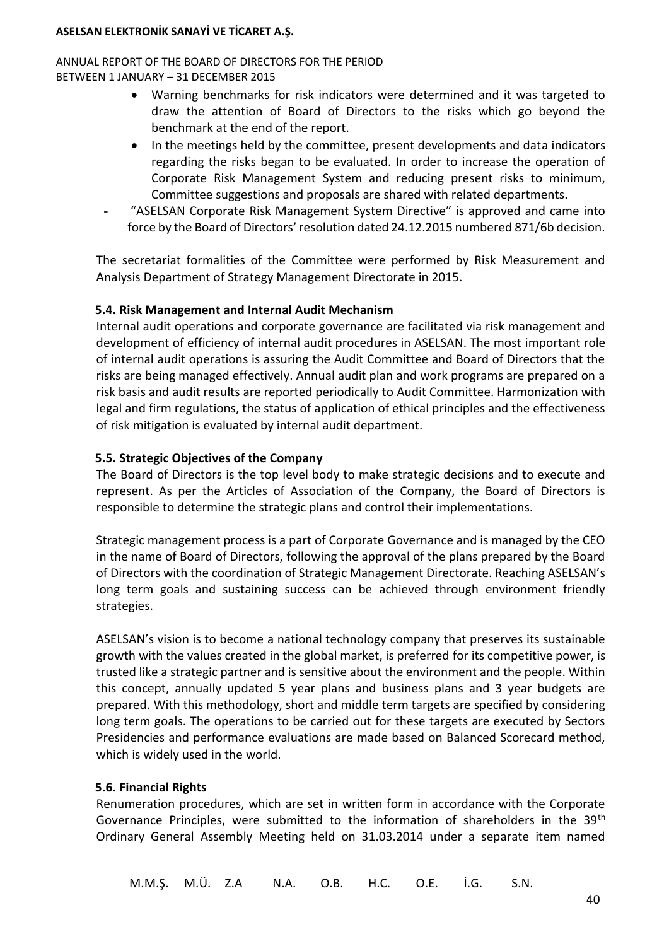ANNUAL REPORT OF THE BOARD OF DIRECTORS FOR THE PERIOD BETWEEN 1 JANUARY – 31 DECEMBER 2015

- Warning benchmarks for risk indicators were determined and it was targeted to draw the attention of Board of Directors to the risks which go beyond the benchmark at the end of the report.
- In the meetings held by the committee, present developments and data indicators regarding the risks began to be evaluated. In order to increase the operation of Corporate Risk Management System and reducing present risks to minimum, Committee suggestions and proposals are shared with related departments.
- "ASELSAN Corporate Risk Management System Directive" is approved and came into force by the Board of Directors' resolution dated 24.12.2015 numbered 871/6b decision.

The secretariat formalities of the Committee were performed by Risk Measurement and Analysis Department of Strategy Management Directorate in 2015.

## **5.4. Risk Management and Internal Audit Mechanism**

Internal audit operations and corporate governance are facilitated via risk management and development of efficiency of internal audit procedures in ASELSAN. The most important role of internal audit operations is assuring the Audit Committee and Board of Directors that the risks are being managed effectively. Annual audit plan and work programs are prepared on a risk basis and audit results are reported periodically to Audit Committee. Harmonization with legal and firm regulations, the status of application of ethical principles and the effectiveness of risk mitigation is evaluated by internal audit department.

## **5.5. Strategic Objectives of the Company**

The Board of Directors is the top level body to make strategic decisions and to execute and represent. As per the Articles of Association of the Company, the Board of Directors is responsible to determine the strategic plans and control their implementations.

Strategic management process is a part of Corporate Governance and is managed by the CEO in the name of Board of Directors, following the approval of the plans prepared by the Board of Directors with the coordination of Strategic Management Directorate. Reaching ASELSAN's long term goals and sustaining success can be achieved through environment friendly strategies.

ASELSAN's vision is to become a national technology company that preserves its sustainable growth with the values created in the global market, is preferred for its competitive power, is trusted like a strategic partner and is sensitive about the environment and the people. Within this concept, annually updated 5 year plans and business plans and 3 year budgets are prepared. With this methodology, short and middle term targets are specified by considering long term goals. The operations to be carried out for these targets are executed by Sectors Presidencies and performance evaluations are made based on Balanced Scorecard method, which is widely used in the world.

## **5.6. Financial Rights**

Renumeration procedures, which are set in written form in accordance with the Corporate Governance Principles, were submitted to the information of shareholders in the  $39<sup>th</sup>$ Ordinary General Assembly Meeting held on 31.03.2014 under a separate item named

M.M.Ş. M.Ü. Z.A N.A. O.B. H.C. O.E. İ.G. S.N.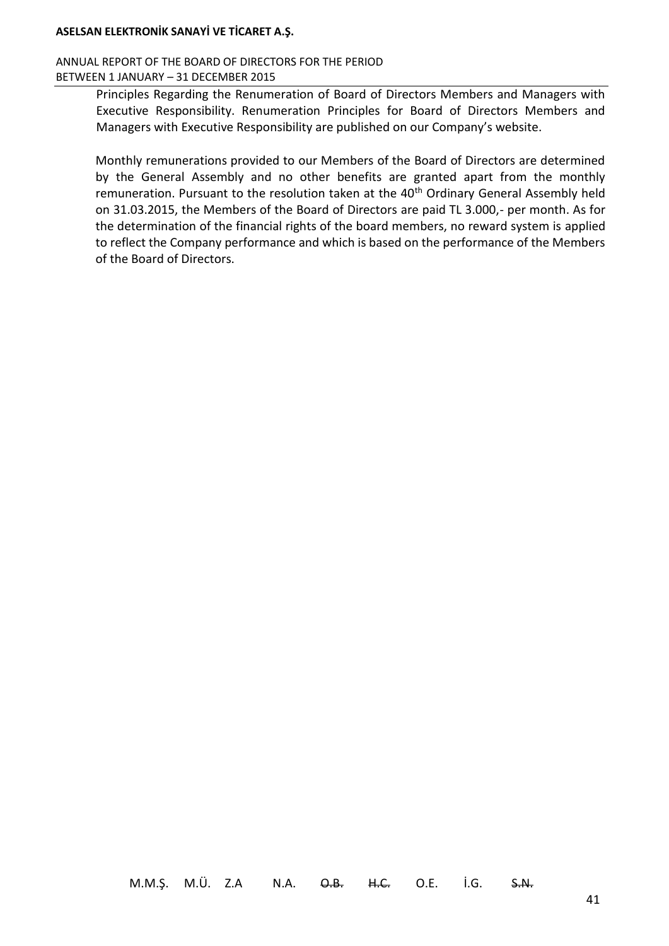#### ANNUAL REPORT OF THE BOARD OF DIRECTORS FOR THE PERIOD BETWEEN 1 JANUARY – 31 DECEMBER 2015

Principles Regarding the Renumeration of Board of Directors Members and Managers with Executive Responsibility. Renumeration Principles for Board of Directors Members and Managers with Executive Responsibility are published on our Company's website.

Monthly remunerations provided to our Members of the Board of Directors are determined by the General Assembly and no other benefits are granted apart from the monthly remuneration. Pursuant to the resolution taken at the 40<sup>th</sup> Ordinary General Assembly held on 31.03.2015, the Members of the Board of Directors are paid TL 3.000,- per month. As for the determination of the financial rights of the board members, no reward system is applied to reflect the Company performance and which is based on the performance of the Members of the Board of Directors.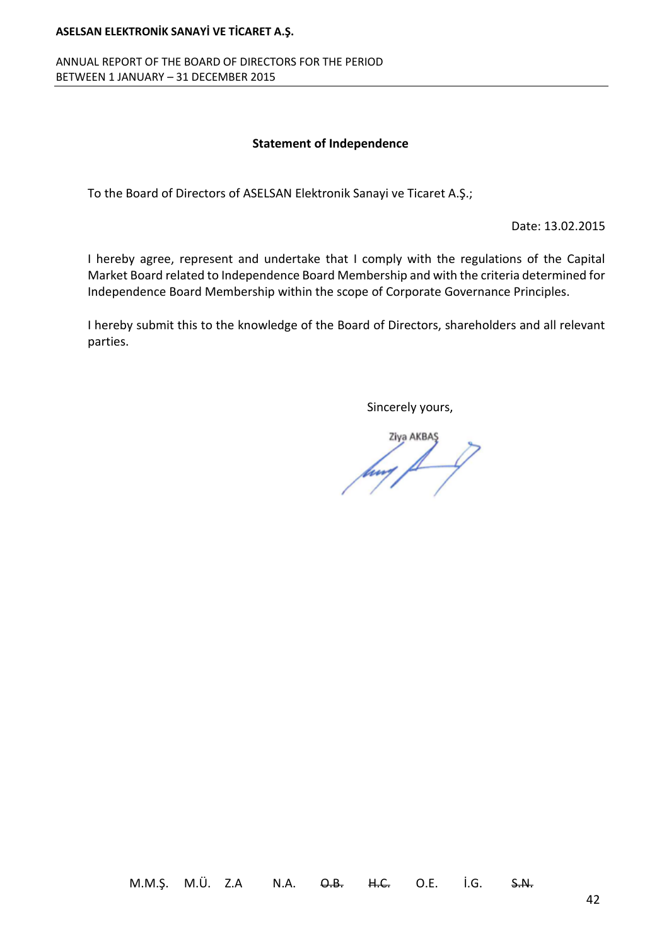ANNUAL REPORT OF THE BOARD OF DIRECTORS FOR THE PERIOD BETWEEN 1 JANUARY – 31 DECEMBER 2015

#### **Statement of Independence**

To the Board of Directors of ASELSAN Elektronik Sanayi ve Ticaret A.Ş.;

Date: 13.02.2015

I hereby agree, represent and undertake that I comply with the regulations of the Capital Market Board related to Independence Board Membership and with the criteria determined for Independence Board Membership within the scope of Corporate Governance Principles.

I hereby submit this to the knowledge of the Board of Directors, shareholders and all relevant parties.

Sincerely yours,

Ziva AKBAS any AKBAS

M.M.Ş. M.Ü. Z.A N.A. O.B. H.C. O.E. İ.G. S.N.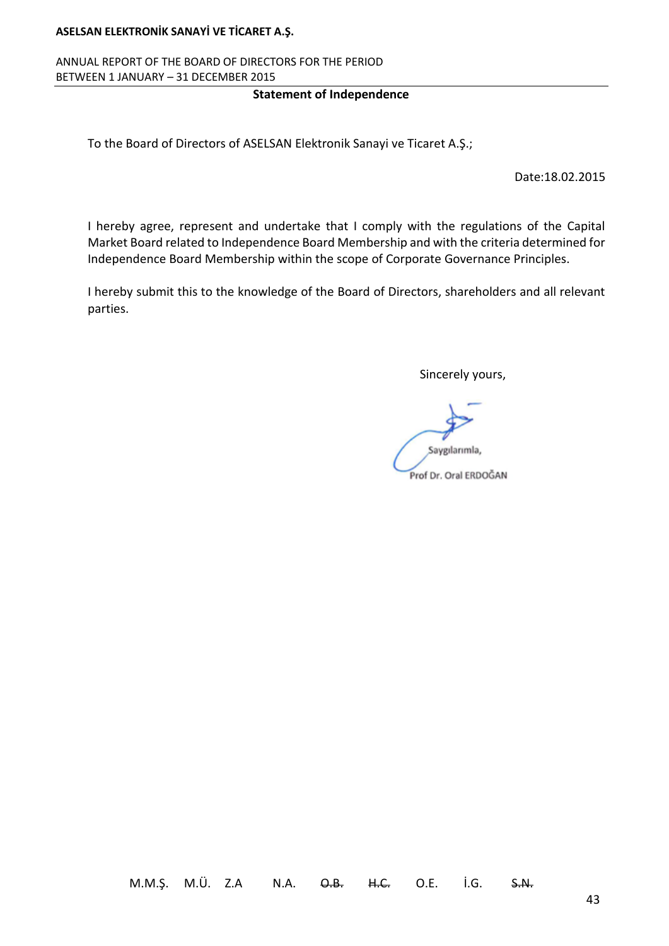## ANNUAL REPORT OF THE BOARD OF DIRECTORS FOR THE PERIOD BETWEEN 1 JANUARY – 31 DECEMBER 2015

### **Statement of Independence**

To the Board of Directors of ASELSAN Elektronik Sanayi ve Ticaret A.Ş.;

Date:18.02.2015

I hereby agree, represent and undertake that I comply with the regulations of the Capital Market Board related to Independence Board Membership and with the criteria determined for Independence Board Membership within the scope of Corporate Governance Principles.

I hereby submit this to the knowledge of the Board of Directors, shareholders and all relevant parties.

Sincerely yours,

Saygılarımla, Prof Dr. Oral ERDOĞAN

M.M.Ş. M.Ü. Z.A N.A. <del>O.B. H.C.</del> O.E. İ.G. <del>S.N.</del>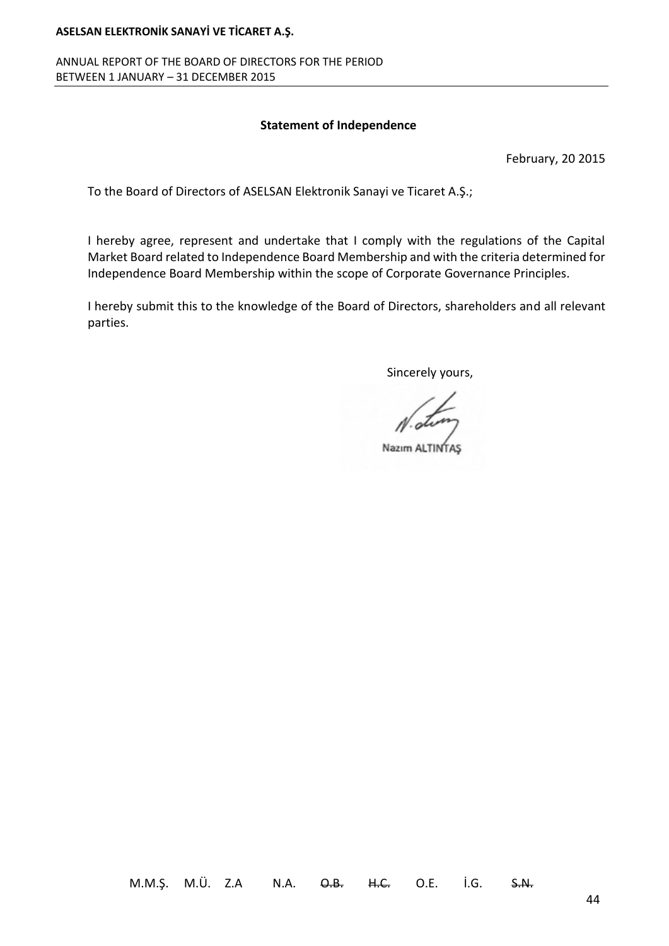#### ANNUAL REPORT OF THE BOARD OF DIRECTORS FOR THE PERIOD BETWEEN 1 JANUARY – 31 DECEMBER 2015

#### **Statement of Independence**

February, 20 2015

To the Board of Directors of ASELSAN Elektronik Sanayi ve Ticaret A.Ş.;

I hereby agree, represent and undertake that I comply with the regulations of the Capital Market Board related to Independence Board Membership and with the criteria determined for Independence Board Membership within the scope of Corporate Governance Principles.

I hereby submit this to the knowledge of the Board of Directors, shareholders and all relevant parties.

Sincerely yours,

Nazım ALTINTAS

M.M.Ş. M.Ü. Z.A N.A. O.B. H.C. O.E. İ.G. S.N.